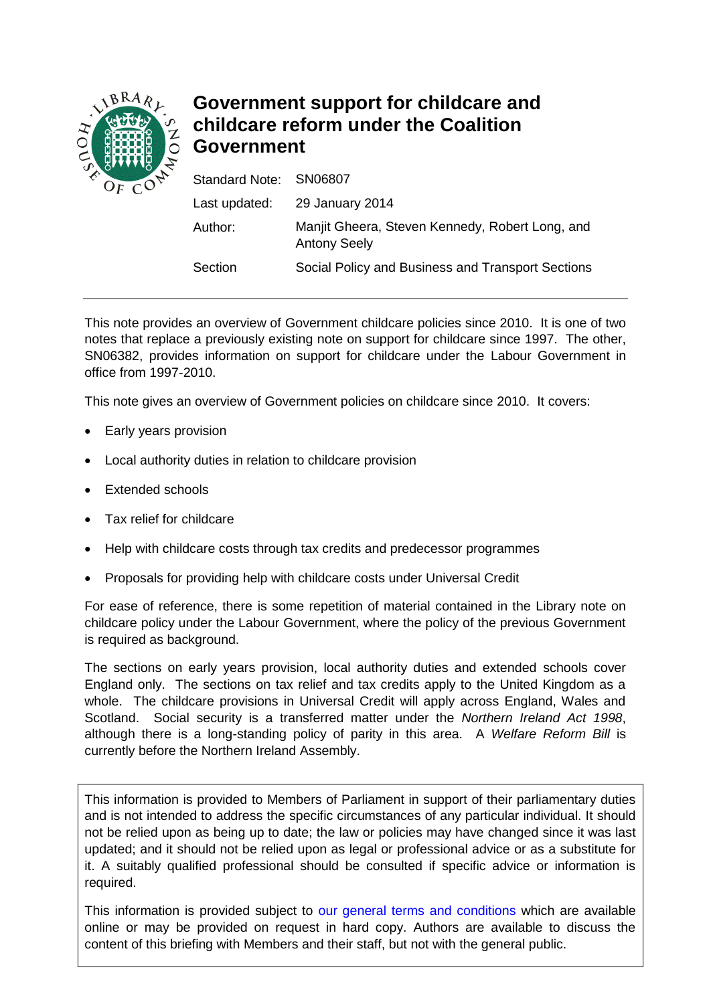

# **Government support for childcare and childcare reform under the Coalition Government**

| Standard Note: SN06807                                                 |
|------------------------------------------------------------------------|
| Last updated: 29 January 2014                                          |
| Manjit Gheera, Steven Kennedy, Robert Long, and<br><b>Antony Seely</b> |
| Social Policy and Business and Transport Sections                      |
|                                                                        |

This note provides an overview of Government childcare policies since 2010. It is one of two notes that replace a previously existing note on support for childcare since 1997. The other, SN06382, provides information on support for childcare under the Labour Government in office from 1997-2010.

This note gives an overview of Government policies on childcare since 2010. It covers:

- Early years provision
- Local authority duties in relation to childcare provision
- Extended schools
- Tax relief for childcare
- Help with childcare costs through tax credits and predecessor programmes
- Proposals for providing help with childcare costs under Universal Credit

For ease of reference, there is some repetition of material contained in the Library note on childcare policy under the Labour Government, where the policy of the previous Government is required as background.

The sections on early years provision, local authority duties and extended schools cover England only. The sections on tax relief and tax credits apply to the United Kingdom as a whole. The childcare provisions in Universal Credit will apply across England, Wales and Scotland. Social security is a transferred matter under the *Northern Ireland Act 1998*, although there is a long-standing policy of parity in this area. A *Welfare Reform Bill* is currently before the Northern Ireland Assembly.

This information is provided to Members of Parliament in support of their parliamentary duties and is not intended to address the specific circumstances of any particular individual. It should not be relied upon as being up to date; the law or policies may have changed since it was last updated; and it should not be relied upon as legal or professional advice or as a substitute for it. A suitably qualified professional should be consulted if specific advice or information is required.

This information is provided subject to [our general terms and conditions](http://www.parliament.uk/site-information/copyright/) which are available online or may be provided on request in hard copy. Authors are available to discuss the content of this briefing with Members and their staff, but not with the general public.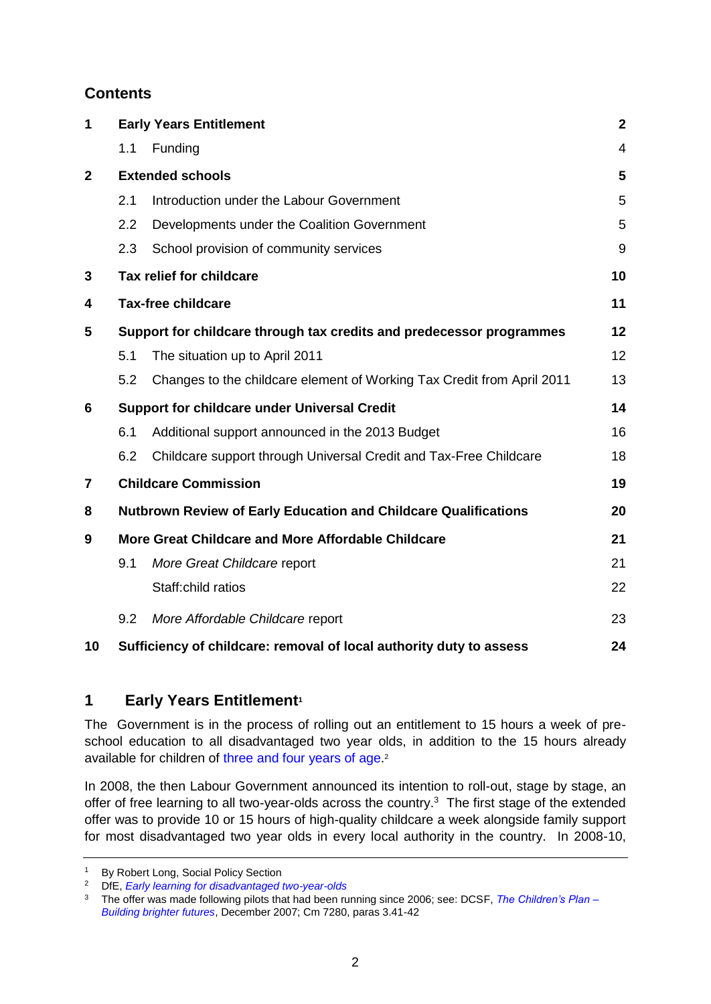# **Contents**

| 1              | <b>Early Years Entitlement</b> |                                                                        |                |
|----------------|--------------------------------|------------------------------------------------------------------------|----------------|
|                | 1.1                            | Funding                                                                | $\overline{4}$ |
| $\overline{2}$ |                                | <b>Extended schools</b>                                                | 5              |
|                | 2.1                            | Introduction under the Labour Government                               | 5              |
|                | 2.2                            | Developments under the Coalition Government                            | 5              |
|                | 2.3                            | School provision of community services                                 | 9              |
| 3              |                                | Tax relief for childcare                                               | 10             |
| 4              |                                | <b>Tax-free childcare</b>                                              | 11             |
| 5              |                                | Support for childcare through tax credits and predecessor programmes   | 12             |
|                | 5.1                            | The situation up to April 2011                                         | 12             |
|                | 5.2                            | Changes to the childcare element of Working Tax Credit from April 2011 | 13             |
| 6              |                                | <b>Support for childcare under Universal Credit</b>                    | 14             |
|                | 6.1                            | Additional support announced in the 2013 Budget                        | 16             |
|                | 6.2                            | Childcare support through Universal Credit and Tax-Free Childcare      | 18             |
| 7              |                                | <b>Childcare Commission</b>                                            | 19             |
| 8              |                                | <b>Nutbrown Review of Early Education and Childcare Qualifications</b> | 20             |
| 9              |                                | More Great Childcare and More Affordable Childcare                     | 21             |
|                | 9.1                            | More Great Childcare report                                            | 21             |
|                |                                | Staff:child ratios                                                     | 22             |
|                | 9.2                            | More Affordable Childcare report                                       | 23             |
| 10             |                                | Sufficiency of childcare: removal of local authority duty to assess    | 24             |

# <span id="page-1-0"></span>**1 Early Years Entitlement<sup>1</sup>**

The Government is in the process of rolling out an entitlement to 15 hours a week of preschool education to all disadvantaged two year olds, in addition to the 15 hours already available for children of [three and four years of age.](http://www.education.gov.uk/popularquestions/childrenandfamilies/childminding/earlyyearslearning/a005344/is-my-child-entitled-to-free-early-education-and-how-do-i-find-out-more)<sup>2</sup>

In 2008, the then Labour Government announced its intention to roll-out, stage by stage, an offer of free learning to all two-year-olds across the country.<sup>3</sup> The first stage of the extended offer was to provide 10 or 15 hours of high-quality childcare a week alongside family support for most disadvantaged two year olds in every local authority in the country. In 2008-10,

<sup>&</sup>lt;sup>1</sup> By Robert Long, Social Policy Section

<sup>2</sup> DfE, *[Early learning for disadvantaged two-year-olds](http://www.education.gov.uk/childrenandyoungpeople/earlylearningandchildcare/delivery/free%20entitlement%20to%20early%20education/b0070114/elfordisadvantaged)*

<sup>3</sup> The offer was made following pilots that had been running since 2006; see: DCSF, *[The Children's Plan –](http://www.dcsf.gov.uk/childrensplan/downloads/The_Childrens_Plan.pdf) [Building brighter futures](http://www.dcsf.gov.uk/childrensplan/downloads/The_Childrens_Plan.pdf)*, December 2007; Cm 7280, paras 3.41-42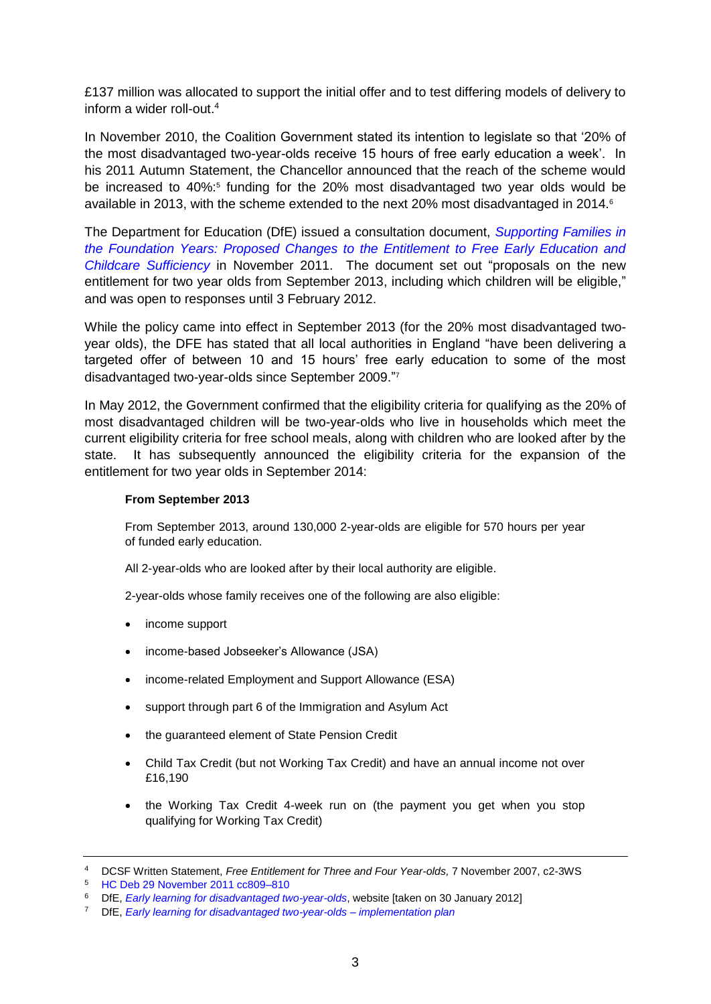£137 million was allocated to support the initial offer and to test differing models of delivery to inform a wider roll-out. $4$ 

In November 2010, the Coalition Government stated its intention to legislate so that '20% of the most disadvantaged two-year-olds receive 15 hours of free early education a week'. In his 2011 Autumn Statement, the Chancellor announced that the reach of the scheme would be increased to 40%:<sup>5</sup> funding for the 20% most disadvantaged two year olds would be available in 2013, with the scheme extended to the next 20% most disadvantaged in 2014.<sup>6</sup>

The Department for Education (DfE) issued a consultation document, *[Supporting Families in](http://www.education.gov.uk/consultations/downloadableDocs/entitlement%20consultation%20document%206.doc)  [the Foundation Years: Proposed Changes to the Entitlement to Free Early Education and](http://www.education.gov.uk/consultations/downloadableDocs/entitlement%20consultation%20document%206.doc)  [Childcare Sufficiency](http://www.education.gov.uk/consultations/downloadableDocs/entitlement%20consultation%20document%206.doc)* in November 2011. The document set out "proposals on the new entitlement for two year olds from September 2013, including which children will be eligible," and was open to responses until 3 February 2012.

While the policy came into effect in September 2013 (for the 20% most disadvantaged twoyear olds), the DFE has stated that all local authorities in England "have been delivering a targeted offer of between 10 and 15 hours' free early education to some of the most disadvantaged two-year-olds since September 2009." 7

In May 2012, the Government confirmed that the eligibility criteria for qualifying as the 20% of most disadvantaged children will be two-year-olds who live in households which meet the current eligibility criteria for free school meals, along with children who are looked after by the state. It has subsequently announced the eligibility criteria for the expansion of the entitlement for two year olds in September 2014:

#### **From September 2013**

From September 2013, around 130,000 2-year-olds are eligible for 570 hours per year of funded early education.

All 2-year-olds who are looked after by their local authority are eligible.

2-year-olds whose family receives one of the following are also eligible:

- income support
- income-based Jobseeker's Allowance (JSA)
- income-related Employment and Support Allowance (ESA)
- support through part 6 of the Immigration and Asylum Act
- the guaranteed element of State Pension Credit
- Child Tax Credit (but not Working Tax Credit) and have an annual income not over £16,190
- the Working Tax Credit 4-week run on (the payment you get when you stop qualifying for Working Tax Credit)

<sup>4</sup> DCSF Written Statement, *Free Entitlement for Three and Four Year-olds,* 7 November 2007, c2-3WS

<sup>5</sup> [HC Deb 29 November 2011 cc809–810](http://www.publications.parliament.uk/pa/cm201011/cmhansrd/cm111129/debtext/111129-0001.htm#11112951000009)

<sup>6</sup> DfE, *[Early learning for disadvantaged two-year-olds](http://www.education.gov.uk/childrenandyoungpeople/earlylearningandchildcare/delivery/free%20entitlement%20to%20early%20education/b0070114/elfordisadvantaged)*, website [taken on 30 January 2012]

<sup>7</sup> DfE, *[Early learning for disadvantaged two-year-olds –](http://www.education.gov.uk/childrenandyoungpeople/earlylearningandchildcare/delivery/free%20entitlement%20to%20early%20education/b0070114/elfordisadvantaged) implementation plan*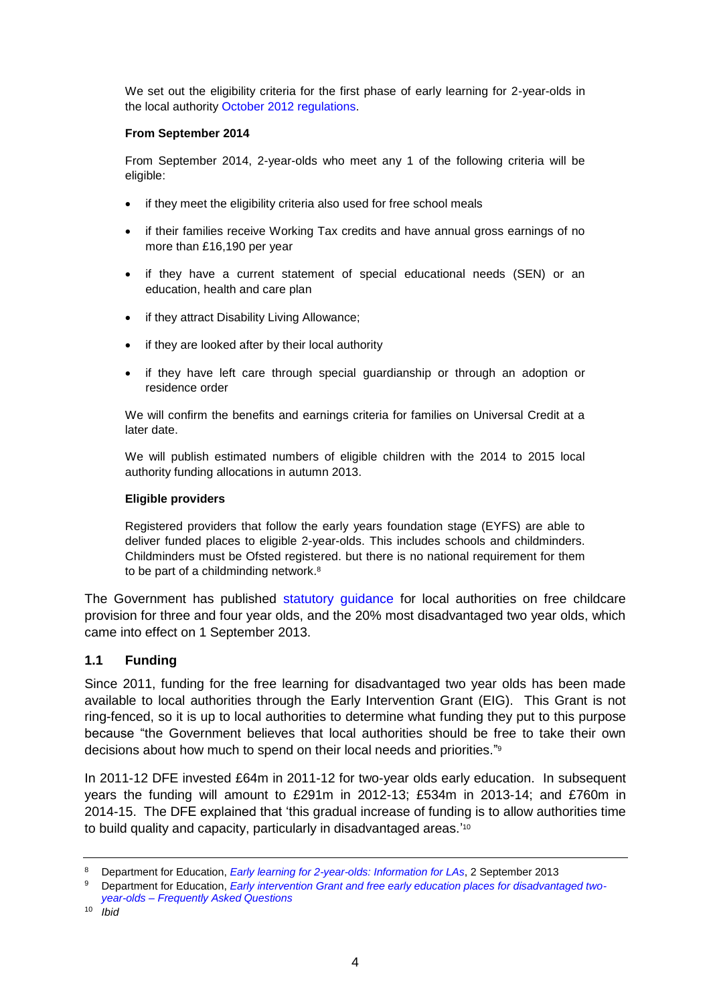We set out the eligibility criteria for the first phase of early learning for 2-year-olds in the local authority [October 2012 regulations.](http://www.legislation.gov.uk/uksi/2012/2488/contents/made)

#### **From September 2014**

From September 2014, 2-year-olds who meet any 1 of the following criteria will be eligible:

- if they meet the eligibility criteria also used for free school meals
- if their families receive Working Tax credits and have annual gross earnings of no more than £16,190 per year
- if they have a current statement of special educational needs (SEN) or an education, health and care plan
- if they attract Disability Living Allowance;
- if they are looked after by their local authority
- if they have left care through special guardianship or through an adoption or residence order

We will confirm the benefits and earnings criteria for families on Universal Credit at a later date.

We will publish estimated numbers of eligible children with the 2014 to 2015 local authority funding allocations in autumn 2013.

#### **Eligible providers**

Registered providers that follow the early years foundation stage (EYFS) are able to deliver funded places to eligible 2-year-olds. This includes schools and childminders. Childminders must be Ofsted registered. but there is no national requirement for them to be part of a childminding network.<sup>8</sup>

The Government has published [statutory guidance](http://www.education.gov.uk/childrenandyoungpeople/earlylearningandchildcare/delivery/Free%20Entitlement%20to%20Early%20Education/g00209650/code-of-practice-for-las) for local authorities on free childcare provision for three and four year olds, and the 20% most disadvantaged two year olds, which came into effect on 1 September 2013.

### <span id="page-3-0"></span>**1.1 Funding**

Since 2011, funding for the free learning for disadvantaged two year olds has been made available to local authorities through the Early Intervention Grant (EIG). This Grant is not ring-fenced, so it is up to local authorities to determine what funding they put to this purpose because "the Government believes that local authorities should be free to take their own decisions about how much to spend on their local needs and priorities." 9

In 2011-12 DFE invested £64m in 2011-12 for two-year olds early education. In subsequent years the funding will amount to £291m in 2012-13; £534m in 2013-14; and £760m in 2014-15. The DFE explained that 'this gradual increase of funding is to allow authorities time to build quality and capacity, particularly in disadvantaged areas.'<sup>10</sup>

<sup>8</sup> Department for Education, *[Early learning for 2-year-olds: Information for LAs](http://www.education.gov.uk/childrenandyoungpeople/earlylearningandchildcare/delivery/Free%20Entitlement%20to%20Early%20Education/b0070114/eefortwoyearolds)*, 2 September 2013

<sup>9</sup> Department for Education, *[Early intervention Grant and free early education places for disadvantaged two](http://www.education.gov.uk/childrenandyoungpeople/earlylearningandchildcare/delivery/Free%20Entitlement%20to%20Early%20Education/a0070230/eigel)year-olds – [Frequently Asked Questions](http://www.education.gov.uk/childrenandyoungpeople/earlylearningandchildcare/delivery/Free%20Entitlement%20to%20Early%20Education/a0070230/eigel)*

<sup>10</sup> *Ibid*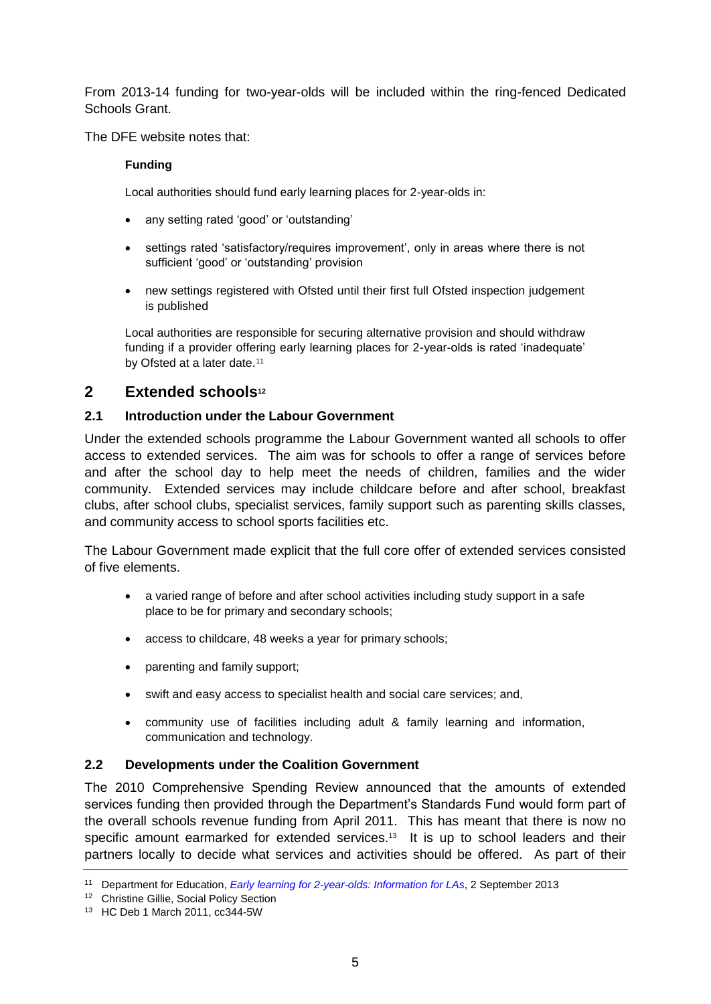From 2013-14 funding for two-year-olds will be included within the ring-fenced Dedicated Schools Grant.

The DFE website notes that:

### **Funding**

Local authorities should fund early learning places for 2-year-olds in:

- any setting rated 'good' or 'outstanding'
- settings rated 'satisfactory/requires improvement', only in areas where there is not sufficient 'good' or 'outstanding' provision
- new settings registered with Ofsted until their first full Ofsted inspection judgement is published

Local authorities are responsible for securing alternative provision and should withdraw funding if a provider offering early learning places for 2-year-olds is rated 'inadequate' by Ofsted at a later date.<sup>11</sup>

# <span id="page-4-0"></span>**2 Extended schools<sup>12</sup>**

### <span id="page-4-1"></span>**2.1 Introduction under the Labour Government**

Under the extended schools programme the Labour Government wanted all schools to offer access to extended services. The aim was for schools to offer a range of services before and after the school day to help meet the needs of children, families and the wider community. Extended services may include childcare before and after school, breakfast clubs, after school clubs, specialist services, family support such as parenting skills classes, and community access to school sports facilities etc.

The Labour Government made explicit that the full core offer of extended services consisted of five elements.

- a varied range of before and after school activities including study support in a safe place to be for primary and secondary schools;
- access to childcare, 48 weeks a year for primary schools;
- parenting and family support;
- swift and easy access to specialist health and social care services; and,
- community use of facilities including adult & family learning and information, communication and technology.

### <span id="page-4-2"></span>**2.2 Developments under the Coalition Government**

The 2010 Comprehensive Spending Review announced that the amounts of extended services funding then provided through the Department's Standards Fund would form part of the overall schools revenue funding from April 2011. This has meant that there is now no specific amount earmarked for extended services.<sup>13</sup> It is up to school leaders and their partners locally to decide what services and activities should be offered. As part of their

<sup>11</sup> Department for Education, *[Early learning for 2-year-olds: Information for LAs](http://www.education.gov.uk/childrenandyoungpeople/earlylearningandchildcare/delivery/Free%20Entitlement%20to%20Early%20Education/b0070114/eefortwoyearolds)*, 2 September 2013

<sup>&</sup>lt;sup>12</sup> Christine Gillie, Social Policy Section

<sup>13</sup> HC Deb 1 March 2011, cc344-5W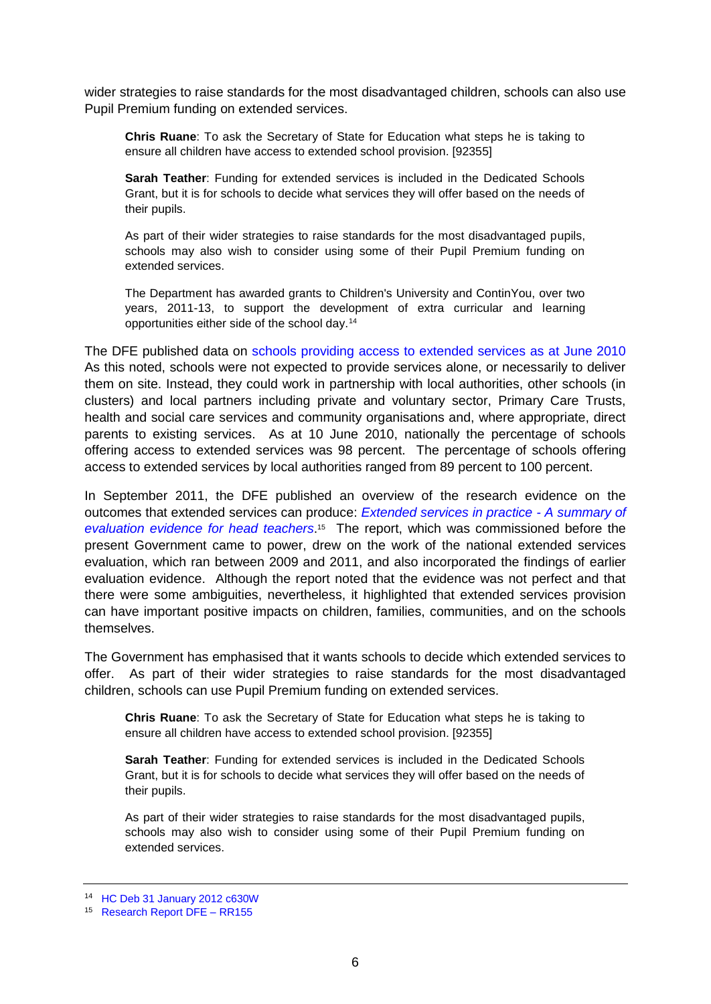wider strategies to raise standards for the most disadvantaged children, schools can also use Pupil Premium funding on extended services.

**Chris Ruane**: To ask the Secretary of State for Education what steps he is taking to ensure all children have access to extended school provision. [92355]

**Sarah Teather**: Funding for extended services is included in the Dedicated Schools Grant, but it is for schools to decide what services they will offer based on the needs of their pupils.

As part of their wider strategies to raise standards for the most disadvantaged pupils, schools may also wish to consider using some of their Pupil Premium funding on extended services.

The Department has awarded grants to Children's University and ContinYou, over two years, 2011-13, to support the development of extra curricular and learning opportunities either side of the school day.<sup>14</sup>

The DFE published data on [schools providing access to extended services as at June 2010](http://www.education.gov.uk/rsgateway/DB/STR/d000941/osr16-2010.pdf)  As this noted, schools were not expected to provide services alone, or necessarily to deliver them on site. Instead, they could work in partnership with local authorities, other schools (in clusters) and local partners including private and voluntary sector, Primary Care Trusts, health and social care services and community organisations and, where appropriate, direct parents to existing services. As at 10 June 2010, nationally the percentage of schools offering access to extended services was 98 percent. The percentage of schools offering access to extended services by local authorities ranged from 89 percent to 100 percent.

In September 2011, the DFE published an overview of the research evidence on the outcomes that extended services can produce: *[Extended services in practice -](https://www.education.gov.uk/publications/RSG/AllPublications/Page1/DFE-RR155) A summary of [evaluation evidence for head teachers](https://www.education.gov.uk/publications/RSG/AllPublications/Page1/DFE-RR155)*. 15 The report, which was commissioned before the present Government came to power, drew on the work of the national extended services evaluation, which ran between 2009 and 2011, and also incorporated the findings of earlier evaluation evidence. Although the report noted that the evidence was not perfect and that there were some ambiguities, nevertheless, it highlighted that extended services provision can have important positive impacts on children, families, communities, and on the schools themselves.

The Government has emphasised that it wants schools to decide which extended services to offer. As part of their wider strategies to raise standards for the most disadvantaged children, schools can use Pupil Premium funding on extended services.

**Chris Ruane**: To ask the Secretary of State for Education what steps he is taking to ensure all children have access to extended school provision. [92355]

**Sarah Teather**: Funding for extended services is included in the Dedicated Schools Grant, but it is for schools to decide what services they will offer based on the needs of their pupils.

As part of their wider strategies to raise standards for the most disadvantaged pupils, schools may also wish to consider using some of their Pupil Premium funding on extended services.

<sup>14</sup> [HC Deb 31 January 2012 c630W](http://www.publications.parliament.uk/pa/cm201212/cmhansrd/cm120131/text/120131w0004.htm#120131145000043)

<sup>15</sup> [Research Report DFE –](https://www.education.gov.uk/publications/eOrderingDownload/DFE-RR155.pdf) RR155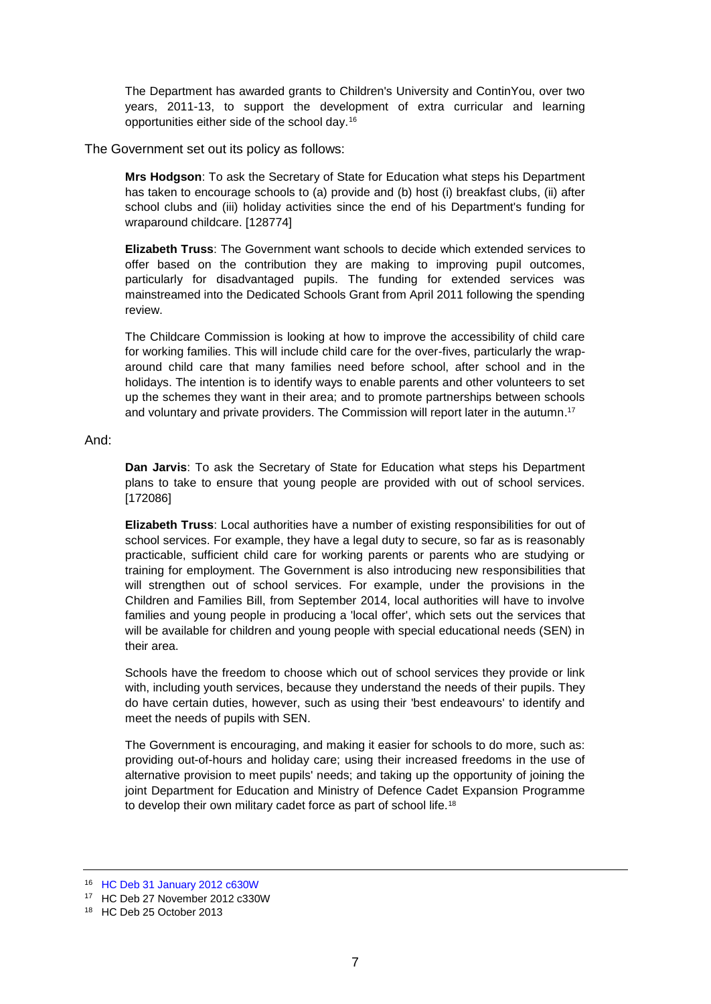The Department has awarded grants to Children's University and ContinYou, over two years, 2011-13, to support the development of extra curricular and learning opportunities either side of the school day.<sup>16</sup>

The Government set out its policy as follows:

**Mrs Hodgson**: To ask the Secretary of State for Education what steps his Department has taken to encourage schools to (a) provide and (b) host (i) breakfast clubs, (ii) after school clubs and (iii) holiday activities since the end of his Department's funding for wraparound childcare. [128774]

**Elizabeth Truss**: The Government want schools to decide which extended services to offer based on the contribution they are making to improving pupil outcomes, particularly for disadvantaged pupils. The funding for extended services was mainstreamed into the Dedicated Schools Grant from April 2011 following the spending review.

The Childcare Commission is looking at how to improve the accessibility of child care for working families. This will include child care for the over-fives, particularly the wraparound child care that many families need before school, after school and in the holidays. The intention is to identify ways to enable parents and other volunteers to set up the schemes they want in their area; and to promote partnerships between schools and voluntary and private providers. The Commission will report later in the autumn. 17

#### And:

**Dan Jarvis**: To ask the Secretary of State for Education what steps his Department plans to take to ensure that young people are provided with out of school services. [172086]

**Elizabeth Truss**: Local authorities have a number of existing responsibilities for out of school services. For example, they have a legal duty to secure, so far as is reasonably practicable, sufficient child care for working parents or parents who are studying or training for employment. The Government is also introducing new responsibilities that will strengthen out of school services. For example, under the provisions in the Children and Families Bill, from September 2014, local authorities will have to involve families and young people in producing a 'local offer', which sets out the services that will be available for children and young people with special educational needs (SEN) in their area.

Schools have the freedom to choose which out of school services they provide or link with, including youth services, because they understand the needs of their pupils. They do have certain duties, however, such as using their 'best endeavours' to identify and meet the needs of pupils with SEN.

The Government is encouraging, and making it easier for schools to do more, such as: providing out-of-hours and holiday care; using their increased freedoms in the use of alternative provision to meet pupils' needs; and taking up the opportunity of joining the joint Department for Education and Ministry of Defence Cadet Expansion Programme to develop their own military cadet force as part of school life.<sup>18</sup>

<sup>16</sup> [HC Deb 31 January 2012 c630W](http://www.publications.parliament.uk/pa/cm201212/cmhansrd/cm120131/text/120131w0004.htm#120131145000043)

<sup>17</sup> HC Deb 27 November 2012 c330W

<sup>18</sup> HC Deb 25 October 2013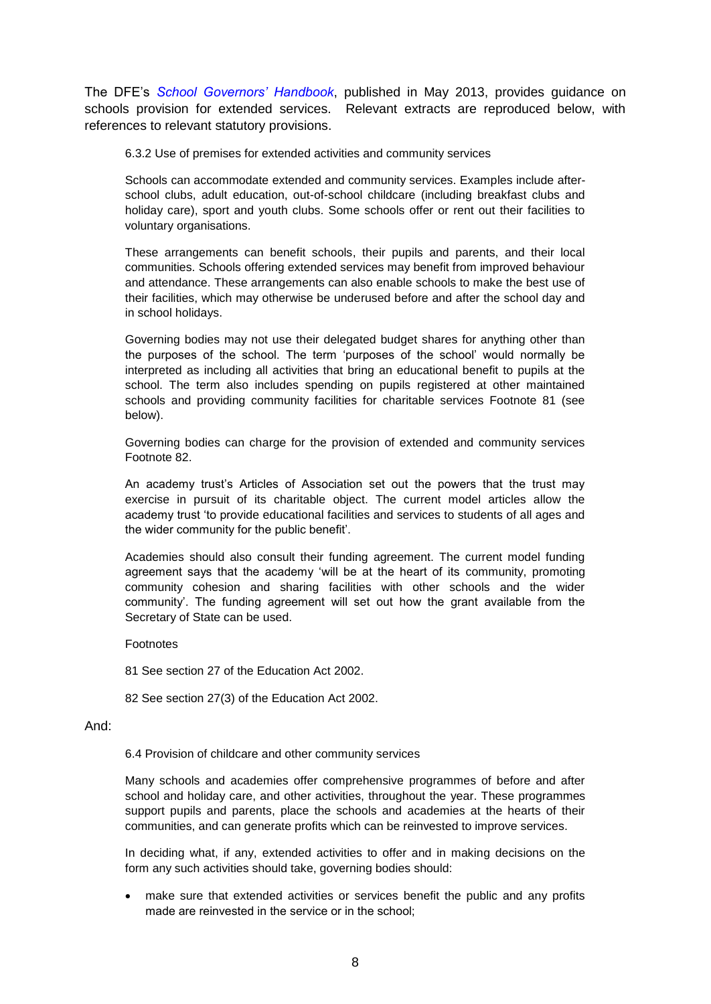The DFE's *[School Governors' Handbook](http://media.education.gov.uk/assets/files/pdf/g/governors%20handbook%20-%20may%202013.pdf)*, published in May 2013, provides guidance on schools provision for extended services. Relevant extracts are reproduced below, with references to relevant statutory provisions.

6.3.2 Use of premises for extended activities and community services

Schools can accommodate extended and community services. Examples include afterschool clubs, adult education, out-of-school childcare (including breakfast clubs and holiday care), sport and youth clubs. Some schools offer or rent out their facilities to voluntary organisations.

These arrangements can benefit schools, their pupils and parents, and their local communities. Schools offering extended services may benefit from improved behaviour and attendance. These arrangements can also enable schools to make the best use of their facilities, which may otherwise be underused before and after the school day and in school holidays.

Governing bodies may not use their delegated budget shares for anything other than the purposes of the school. The term 'purposes of the school' would normally be interpreted as including all activities that bring an educational benefit to pupils at the school. The term also includes spending on pupils registered at other maintained schools and providing community facilities for charitable services Footnote 81 (see below).

Governing bodies can charge for the provision of extended and community services Footnote 82.

An academy trust's Articles of Association set out the powers that the trust may exercise in pursuit of its charitable object. The current model articles allow the academy trust 'to provide educational facilities and services to students of all ages and the wider community for the public benefit'.

Academies should also consult their funding agreement. The current model funding agreement says that the academy 'will be at the heart of its community, promoting community cohesion and sharing facilities with other schools and the wider community'. The funding agreement will set out how the grant available from the Secretary of State can be used.

Footnotes

81 See section 27 of the Education Act 2002.

82 See section 27(3) of the Education Act 2002.

#### And:

6.4 Provision of childcare and other community services

Many schools and academies offer comprehensive programmes of before and after school and holiday care, and other activities, throughout the year. These programmes support pupils and parents, place the schools and academies at the hearts of their communities, and can generate profits which can be reinvested to improve services.

In deciding what, if any, extended activities to offer and in making decisions on the form any such activities should take, governing bodies should:

 make sure that extended activities or services benefit the public and any profits made are reinvested in the service or in the school;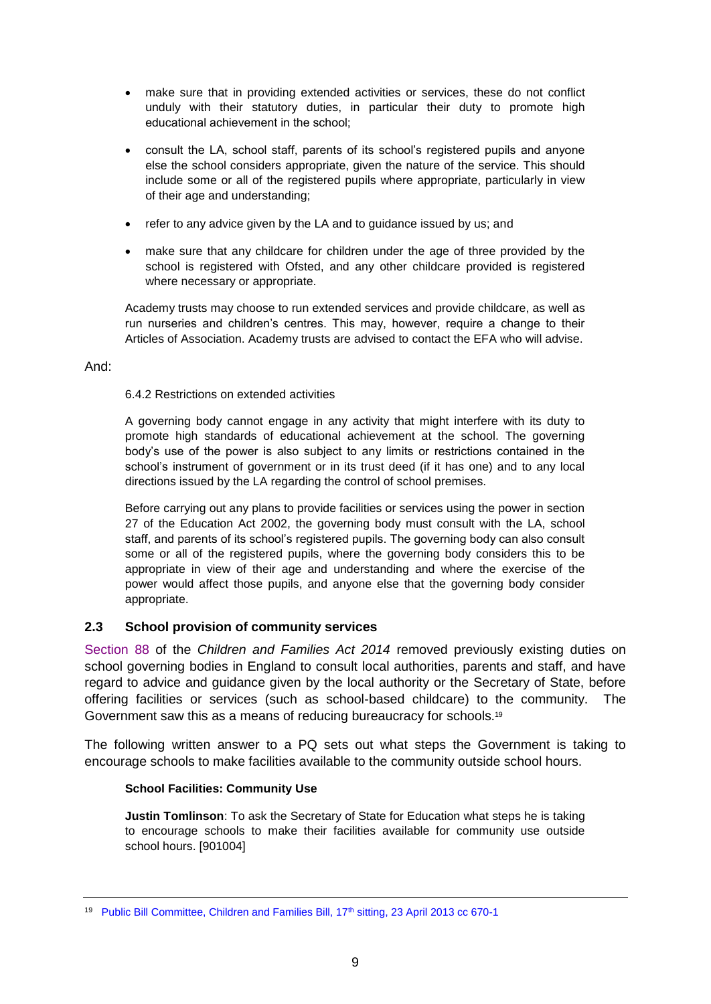- make sure that in providing extended activities or services, these do not conflict unduly with their statutory duties, in particular their duty to promote high educational achievement in the school;
- consult the LA, school staff, parents of its school's registered pupils and anyone else the school considers appropriate, given the nature of the service. This should include some or all of the registered pupils where appropriate, particularly in view of their age and understanding;
- refer to any advice given by the LA and to guidance issued by us; and
- make sure that any childcare for children under the age of three provided by the school is registered with Ofsted, and any other childcare provided is registered where necessary or appropriate.

Academy trusts may choose to run extended services and provide childcare, as well as run nurseries and children's centres. This may, however, require a change to their Articles of Association. Academy trusts are advised to contact the EFA who will advise.

### And:

#### 6.4.2 Restrictions on extended activities

A governing body cannot engage in any activity that might interfere with its duty to promote high standards of educational achievement at the school. The governing body's use of the power is also subject to any limits or restrictions contained in the school's instrument of government or in its trust deed (if it has one) and to any local directions issued by the LA regarding the control of school premises.

Before carrying out any plans to provide facilities or services using the power in section 27 of the Education Act 2002, the governing body must consult with the LA, school staff, and parents of its school's registered pupils. The governing body can also consult some or all of the registered pupils, where the governing body considers this to be appropriate in view of their age and understanding and where the exercise of the power would affect those pupils, and anyone else that the governing body consider appropriate.

### <span id="page-8-0"></span>**2.3 School provision of community services**

[Section 88](http://www.legislation.gov.uk/ukpga/2014/6/section/88/enacted) of the *Children and Families Act 2014* removed previously existing duties on school governing bodies in England to consult local authorities, parents and staff, and have regard to advice and guidance given by the local authority or the Secretary of State, before offering facilities or services (such as school-based childcare) to the community. The Government saw this as a means of reducing bureaucracy for schools.<sup>19</sup>

The following written answer to a PQ sets out what steps the Government is taking to encourage schools to make facilities available to the community outside school hours.

#### **School Facilities: Community Use**

**Justin Tomlinson**: To ask the Secretary of State for Education what steps he is taking to encourage schools to make their facilities available for community use outside school hours. [901004]

<sup>&</sup>lt;sup>19</sup> [Public Bill Committee, Children and Families Bill, 17](http://www.publications.parliament.uk/pa/cm201213/cmpublic/childrenandfamilies/130423/am/130423s01.htm)<sup>th</sup> sitting, 23 April 2013 cc 670-1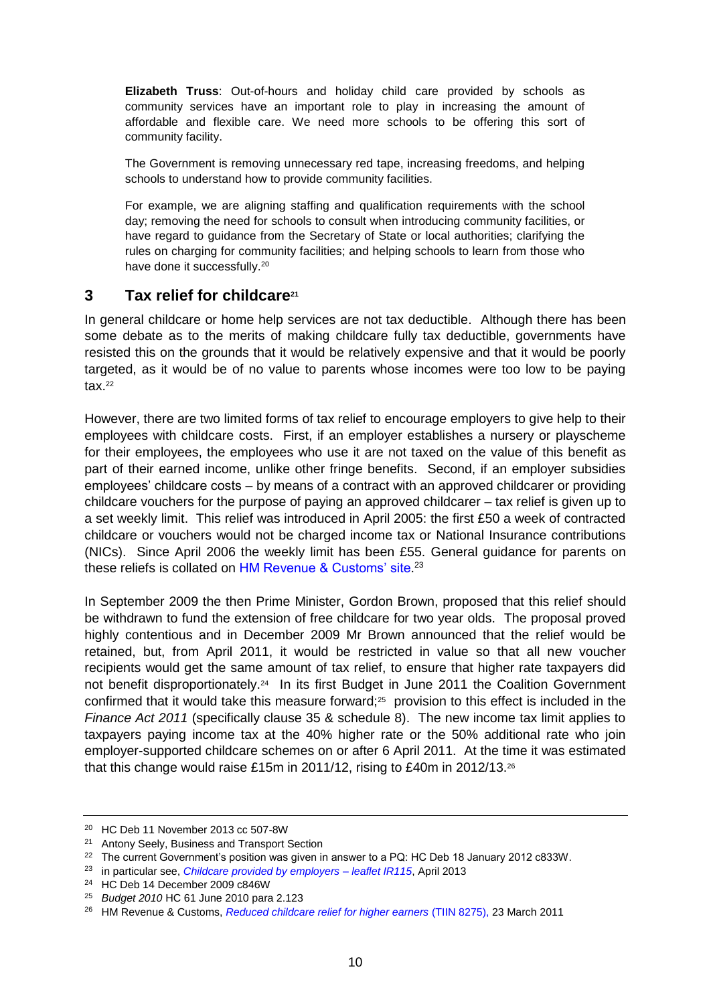**Elizabeth Truss**: Out-of-hours and holiday child care provided by schools as community services have an important role to play in increasing the amount of affordable and flexible care. We need more schools to be offering this sort of community facility.

The Government is removing unnecessary red tape, increasing freedoms, and helping schools to understand how to provide community facilities.

For example, we are aligning staffing and qualification requirements with the school day; removing the need for schools to consult when introducing community facilities, or have regard to guidance from the Secretary of State or local authorities; clarifying the rules on charging for community facilities; and helping schools to learn from those who have done it successfully.<sup>20</sup>

## <span id="page-9-0"></span>**3 Tax relief for childcare<sup>21</sup>**

In general childcare or home help services are not tax deductible. Although there has been some debate as to the merits of making childcare fully tax deductible, governments have resisted this on the grounds that it would be relatively expensive and that it would be poorly targeted, as it would be of no value to parents whose incomes were too low to be paying  $tax.<sup>22</sup>$ 

However, there are two limited forms of tax relief to encourage employers to give help to their employees with childcare costs. First, if an employer establishes a nursery or playscheme for their employees, the employees who use it are not taxed on the value of this benefit as part of their earned income, unlike other fringe benefits. Second, if an employer subsidies employees' childcare costs – by means of a contract with an approved childcarer or providing childcare vouchers for the purpose of paying an approved childcarer – tax relief is given up to a set weekly limit. This relief was introduced in April 2005: the first £50 a week of contracted childcare or vouchers would not be charged income tax or National Insurance contributions (NICs). Since April 2006 the weekly limit has been £55. General guidance for parents on these reliefs is collated on [HM Revenue & Customs' site.](http://www.hmrc.gov.uk/childcare/)<sup>23</sup>

In September 2009 the then Prime Minister, Gordon Brown, proposed that this relief should be withdrawn to fund the extension of free childcare for two year olds. The proposal proved highly contentious and in December 2009 Mr Brown announced that the relief would be retained, but, from April 2011, it would be restricted in value so that all new voucher recipients would get the same amount of tax relief, to ensure that higher rate taxpayers did not benefit disproportionately.<sup>24</sup> In its first Budget in June 2011 the Coalition Government confirmed that it would take this measure forward;<sup>25</sup> provision to this effect is included in the *Finance Act 2011* (specifically clause 35 & schedule 8). The new income tax limit applies to taxpayers paying income tax at the 40% higher rate or the 50% additional rate who join employer-supported childcare schemes on or after 6 April 2011. At the time it was estimated that this change would raise £15m in 2011/12, rising to £40m in 2012/13.<sup>26</sup>

<sup>20</sup> HC Deb 11 November 2013 cc 507-8W

<sup>&</sup>lt;sup>21</sup> Antony Seely, Business and Transport Section

<sup>&</sup>lt;sup>22</sup> The current Government's position was given in answer to a PQ: HC Deb 18 January 2012 c833W.

<sup>23</sup> in particular see, *[Childcare provided by employers –](http://www.hmrc.gov.uk/leaflets/ir115.pdf) leaflet IR115*, April 2013

<sup>24</sup> HC Deb 14 December 2009 c846W

<sup>25</sup> *Budget 2010* HC 61 June 2010 para 2.123

<sup>26</sup> HM Revenue & Customs, *[Reduced childcare relief for higher earners](http://www.hmrc.gov.uk/budget2011/tiin8275.pdf)* (TIIN 8275), 23 March 2011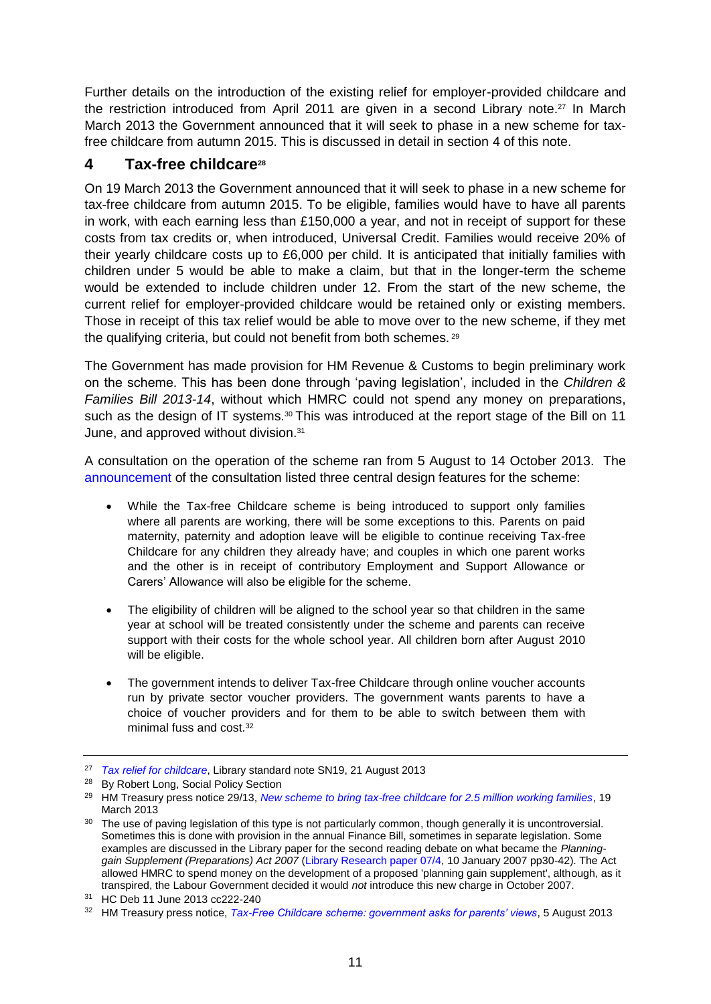Further details on the introduction of the existing relief for employer-provided childcare and the restriction introduced from April 2011 are given in a second Library note.<sup>27</sup> In March March 2013 the Government announced that it will seek to phase in a new scheme for taxfree childcare from autumn 2015. This is discussed in detail in section 4 of this note.

# <span id="page-10-0"></span>**4 Tax-free childcare<sup>28</sup>**

On 19 March 2013 the Government announced that it will seek to phase in a new scheme for tax-free childcare from autumn 2015. To be eligible, families would have to have all parents in work, with each earning less than £150,000 a year, and not in receipt of support for these costs from tax credits or, when introduced, Universal Credit. Families would receive 20% of their yearly childcare costs up to £6,000 per child. It is anticipated that initially families with children under 5 would be able to make a claim, but that in the longer-term the scheme would be extended to include children under 12. From the start of the new scheme, the current relief for employer-provided childcare would be retained only or existing members. Those in receipt of this tax relief would be able to move over to the new scheme, if they met the qualifying criteria, but could not benefit from both schemes. <sup>29</sup>

The Government has made provision for HM Revenue & Customs to begin preliminary work on the scheme. This has been done through 'paving legislation', included in the *Children & Families Bill 2013-14*, without which HMRC could not spend any money on preparations, such as the design of IT systems.<sup>30</sup> This was introduced at the report stage of the Bill on 11 June, and approved without division.<sup>31</sup>

A consultation on the operation of the scheme ran from 5 August to 14 October 2013. The [announcement](https://www.gov.uk/government/news/tax-free-childcare-scheme-government-asks-for-parents-views) of the consultation listed three central design features for the scheme:

- While the Tax-free Childcare scheme is being introduced to support only families where all parents are working, there will be some exceptions to this. Parents on paid maternity, paternity and adoption leave will be eligible to continue receiving Tax-free Childcare for any children they already have; and couples in which one parent works and the other is in receipt of contributory Employment and Support Allowance or Carers' Allowance will also be eligible for the scheme.
- The eligibility of children will be aligned to the school year so that children in the same year at school will be treated consistently under the scheme and parents can receive support with their costs for the whole school year. All children born after August 2010 will be eligible.
- The government intends to deliver Tax-free Childcare through online voucher accounts run by private sector voucher providers. The government wants parents to have a choice of voucher providers and for them to be able to switch between them with minimal fuss and cost.<sup>32</sup>

<sup>27</sup> *[Tax relief for childcare](http://www.parliament.uk/briefing-papers/SN00019)*, Library standard note SN19, 21 August 2013

<sup>28</sup> By Robert Long, Social Policy Section

<sup>29</sup> HM Treasury press notice 29/13, *[New scheme to bring tax-free childcare for 2.5 million working families](http://www.hm-treasury.gov.uk/press_29_13.htm)*, 19 March 2013

<sup>&</sup>lt;sup>30</sup> The use of paving legislation of this type is not particularly common, though generally it is uncontroversial. Sometimes this is done with provision in the annual Finance Bill, sometimes in separate legislation. Some examples are discussed in the Library paper for the second reading debate on what became the *Planninggain Supplement (Preparations) Act 2007* [\(Library Research paper 07/4,](http://www.parliament.uk/briefing-papers/RP07-04) 10 January 2007 pp30-42). The Act allowed HMRC to spend money on the development of a proposed 'planning gain supplement', although, as it transpired, the Labour Government decided it would *not* introduce this new charge in October 2007.

<sup>31</sup> HC Deb 11 June 2013 cc222-240

<sup>32</sup> HM Treasury press notice, *[Tax-Free Childcare scheme: government asks for parents' views](https://www.gov.uk/government/news/tax-free-childcare-scheme-government-asks-for-parents-views)*, 5 August 2013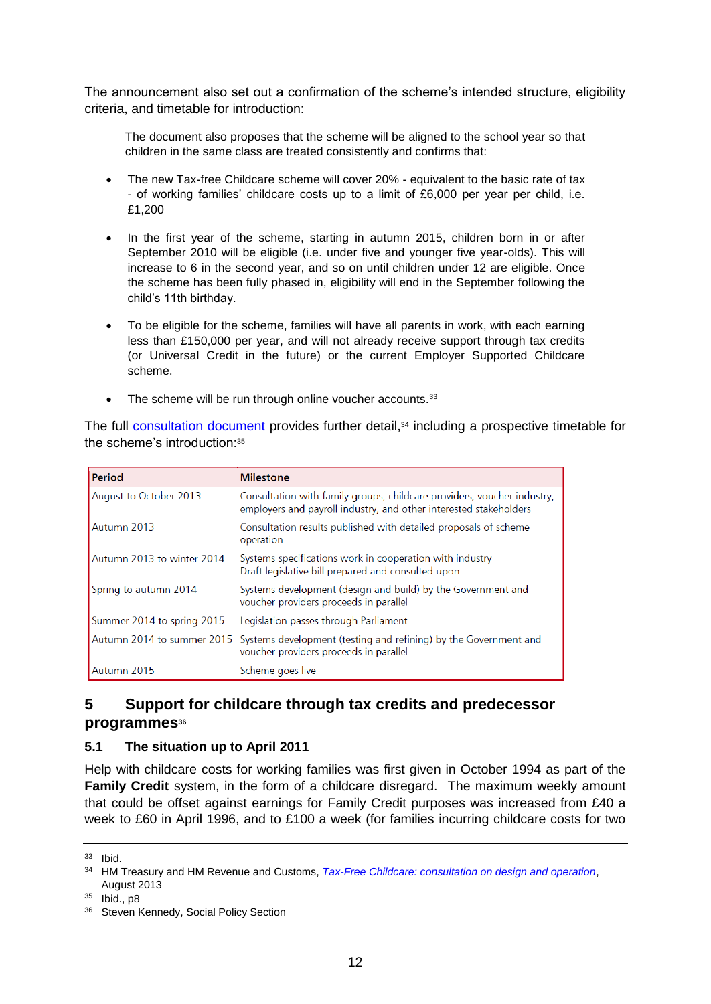The announcement also set out a confirmation of the scheme's intended structure, eligibility criteria, and timetable for introduction:

The document also proposes that the scheme will be aligned to the school year so that children in the same class are treated consistently and confirms that:

- The new Tax-free Childcare scheme will cover 20% equivalent to the basic rate of tax - of working families' childcare costs up to a limit of £6,000 per year per child, i.e. £1,200
- In the first year of the scheme, starting in autumn 2015, children born in or after September 2010 will be eligible (i.e. under five and younger five year-olds). This will increase to 6 in the second year, and so on until children under 12 are eligible. Once the scheme has been fully phased in, eligibility will end in the September following the child's 11th birthday.
- To be eligible for the scheme, families will have all parents in work, with each earning less than £150,000 per year, and will not already receive support through tax credits (or Universal Credit in the future) or the current Employer Supported Childcare scheme.
- The scheme will be run through online voucher accounts.<sup>33</sup>

The full [consultation document](https://www.gov.uk/government/uploads/system/uploads/attachment_data/file/226460/tax-free_childcare_consultation_on_design_and_operation.pdf) provides further detail, <sup>34</sup> including a prospective timetable for the scheme's introduction:<sup>35</sup>

| Period                     | <b>Milestone</b>                                                                                                                             |
|----------------------------|----------------------------------------------------------------------------------------------------------------------------------------------|
| August to October 2013     | Consultation with family groups, childcare providers, voucher industry,<br>employers and payroll industry, and other interested stakeholders |
| Autumn 2013                | Consultation results published with detailed proposals of scheme<br>operation                                                                |
| Autumn 2013 to winter 2014 | Systems specifications work in cooperation with industry<br>Draft legislative bill prepared and consulted upon                               |
| Spring to autumn 2014      | Systems development (design and build) by the Government and<br>voucher providers proceeds in parallel                                       |
| Summer 2014 to spring 2015 | Legislation passes through Parliament                                                                                                        |
|                            | Autumn 2014 to summer 2015 Systems development (testing and refining) by the Government and<br>voucher providers proceeds in parallel        |
| Autumn 2015                | Scheme goes live                                                                                                                             |

## <span id="page-11-0"></span>**5 Support for childcare through tax credits and predecessor programmes<sup>36</sup>**

### <span id="page-11-1"></span>**5.1 The situation up to April 2011**

Help with childcare costs for working families was first given in October 1994 as part of the **Family Credit** system, in the form of a childcare disregard. The maximum weekly amount that could be offset against earnings for Family Credit purposes was increased from £40 a week to £60 in April 1996, and to £100 a week (for families incurring childcare costs for two

<sup>33</sup> Ibid.

<sup>34</sup> HM Treasury and HM Revenue and Customs, *[Tax-Free Childcare: consultation on design and operation](https://www.gov.uk/government/uploads/system/uploads/attachment_data/file/226460/tax-free_childcare_consultation_on_design_and_operation.pdf)*, August 2013

<sup>35</sup> Ibid., p8

<sup>36</sup> Steven Kennedy, Social Policy Section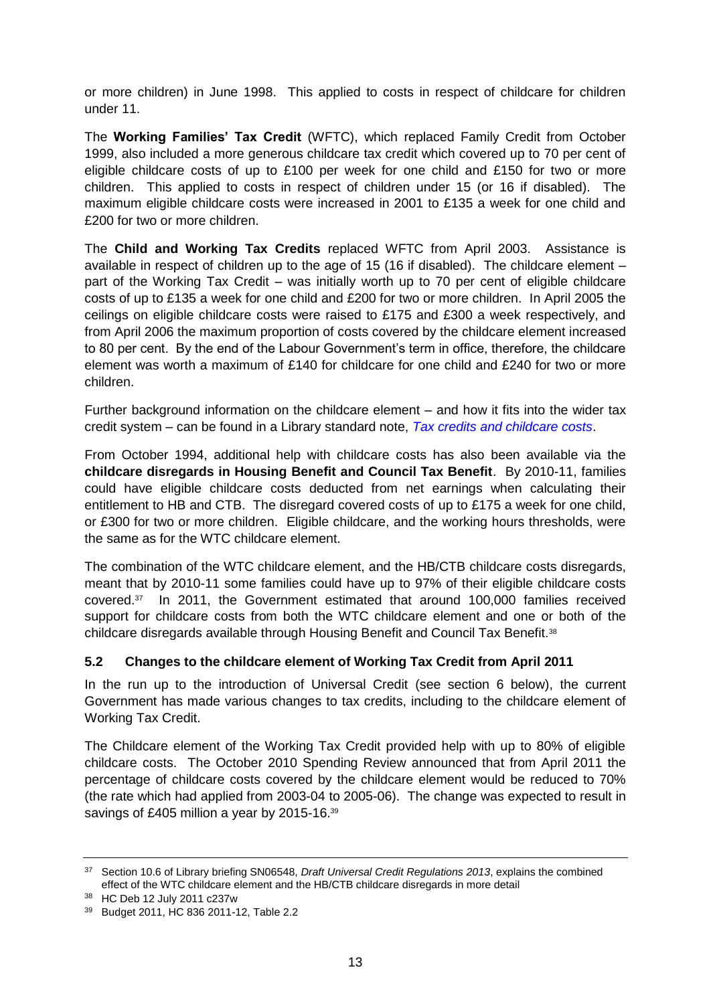or more children) in June 1998. This applied to costs in respect of childcare for children under 11.

The **Working Families' Tax Credit** (WFTC), which replaced Family Credit from October 1999, also included a more generous childcare tax credit which covered up to 70 per cent of eligible childcare costs of up to £100 per week for one child and £150 for two or more children. This applied to costs in respect of children under 15 (or 16 if disabled). The maximum eligible childcare costs were increased in 2001 to £135 a week for one child and £200 for two or more children.

The **Child and Working Tax Credits** replaced WFTC from April 2003. Assistance is available in respect of children up to the age of 15 (16 if disabled). The childcare element – part of the Working Tax Credit – was initially worth up to 70 per cent of eligible childcare costs of up to £135 a week for one child and £200 for two or more children. In April 2005 the ceilings on eligible childcare costs were raised to £175 and £300 a week respectively, and from April 2006 the maximum proportion of costs covered by the childcare element increased to 80 per cent. By the end of the Labour Government's term in office, therefore, the childcare element was worth a maximum of £140 for childcare for one child and £240 for two or more children.

Further background information on the childcare element – and how it fits into the wider tax credit system – can be found in a Library standard note, *[Tax credits and childcare costs](http://intranet.parliament.uk/briefing-papers/SN04929)*.

From October 1994, additional help with childcare costs has also been available via the **childcare disregards in Housing Benefit and Council Tax Benefit**. By 2010-11, families could have eligible childcare costs deducted from net earnings when calculating their entitlement to HB and CTB. The disregard covered costs of up to £175 a week for one child, or £300 for two or more children. Eligible childcare, and the working hours thresholds, were the same as for the WTC childcare element.

The combination of the WTC childcare element, and the HB/CTB childcare costs disregards, meant that by 2010-11 some families could have up to 97% of their eligible childcare costs covered.<sup>37</sup> In 2011, the Government estimated that around 100,000 families received support for childcare costs from both the WTC childcare element and one or both of the childcare disregards available through Housing Benefit and Council Tax Benefit.<sup>38</sup>

### <span id="page-12-0"></span>**5.2 Changes to the childcare element of Working Tax Credit from April 2011**

In the run up to the introduction of Universal Credit (see section 6 below), the current Government has made various changes to tax credits, including to the childcare element of Working Tax Credit.

The Childcare element of the Working Tax Credit provided help with up to 80% of eligible childcare costs. The October 2010 Spending Review announced that from April 2011 the percentage of childcare costs covered by the childcare element would be reduced to 70% (the rate which had applied from 2003-04 to 2005-06). The change was expected to result in savings of £405 million a year by 2015-16.<sup>39</sup>

<sup>37</sup> Section 10.6 of Library briefing SN06548, *Draft Universal Credit Regulations 2013*, explains the combined effect of the WTC childcare element and the HB/CTB childcare disregards in more detail

<sup>38</sup> HC Deb 12 July 2011 c237w

<sup>39</sup> Budget 2011, HC 836 2011-12, Table 2.2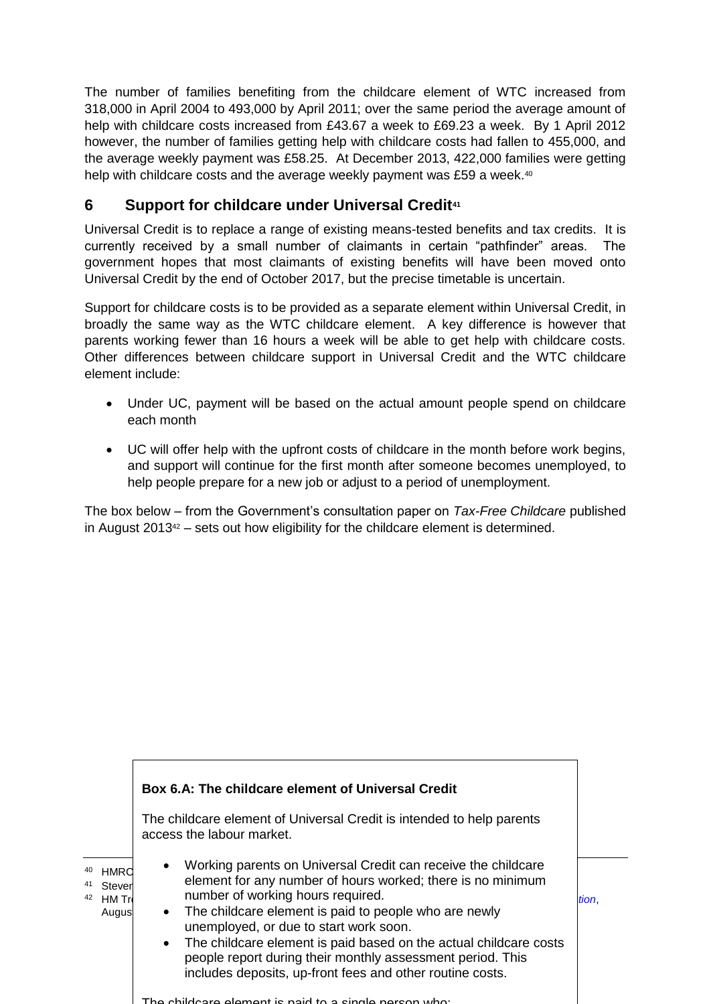The number of families benefiting from the childcare element of WTC increased from 318,000 in April 2004 to 493,000 by April 2011; over the same period the average amount of help with childcare costs increased from £43.67 a week to £69.23 a week. By 1 April 2012 however, the number of families getting help with childcare costs had fallen to 455,000, and the average weekly payment was £58.25. At December 2013, 422,000 families were getting help with childcare costs and the average weekly payment was £59 a week.<sup>40</sup>

# <span id="page-13-0"></span>**6 Support for childcare under Universal Credit<sup>41</sup>**

Universal Credit is to replace a range of existing means-tested benefits and tax credits. It is currently received by a small number of claimants in certain "pathfinder" areas. The government hopes that most claimants of existing benefits will have been moved onto Universal Credit by the end of October 2017, but the precise timetable is uncertain.

Support for childcare costs is to be provided as a separate element within Universal Credit, in broadly the same way as the WTC childcare element. A key difference is however that parents working fewer than 16 hours a week will be able to get help with childcare costs. Other differences between childcare support in Universal Credit and the WTC childcare element include:

- Under UC, payment will be based on the actual amount people spend on childcare each month
- UC will offer help with the upfront costs of childcare in the month before work begins, and support will continue for the first month after someone becomes unemployed, to help people prepare for a new job or adjust to a period of unemployment.

The box below – from the Government's consultation paper on *Tax-Free Childcare* published in August  $2013^{42}$  – sets out how eligibility for the childcare element is determined.

|                                                | Box 6.A: The childcare element of Universal Credit                                                                                                                                                                                                                                                                                                                                                                                                                                               |       |
|------------------------------------------------|--------------------------------------------------------------------------------------------------------------------------------------------------------------------------------------------------------------------------------------------------------------------------------------------------------------------------------------------------------------------------------------------------------------------------------------------------------------------------------------------------|-------|
|                                                | The childcare element of Universal Credit is intended to help parents<br>access the labour market.                                                                                                                                                                                                                                                                                                                                                                                               |       |
| HMRC<br>Stever<br>42<br><b>HM Tri</b><br>Augus | Working parents on Universal Credit can receive the childcare<br>$\bullet$<br>element for any number of hours worked; there is no minimum<br>number of working hours required.<br>• The childcare element is paid to people who are newly<br>unemployed, or due to start work soon.<br>The childcare element is paid based on the actual childcare costs<br>$\bullet$<br>people report during their monthly assessment period. This<br>includes deposits, up-front fees and other routine costs. | tion. |

The childcare element is paid to a single person who: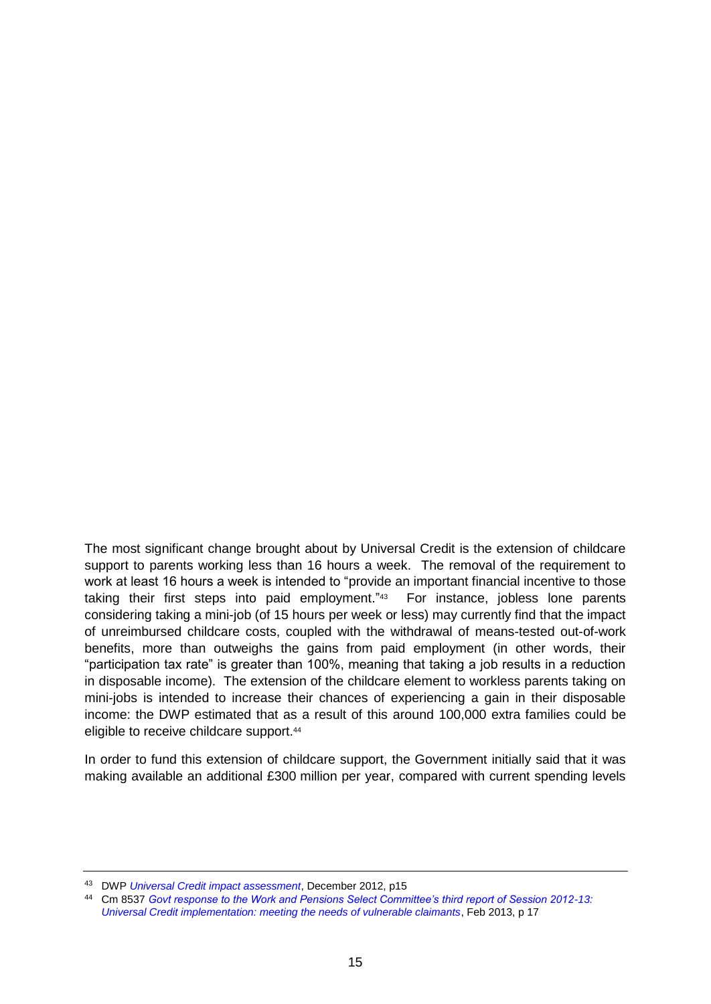The most significant change brought about by Universal Credit is the extension of childcare support to parents working less than 16 hours a week. The removal of the requirement to work at least 16 hours a week is intended to "provide an important financial incentive to those taking their first steps into paid employment."<sup>43</sup> For instance, jobless lone parents considering taking a mini-job (of 15 hours per week or less) may currently find that the impact of unreimbursed childcare costs, coupled with the withdrawal of means-tested out-of-work benefits, more than outweighs the gains from paid employment (in other words, their "participation tax rate" is greater than 100%, meaning that taking a job results in a reduction in disposable income). The extension of the childcare element to workless parents taking on mini-jobs is intended to increase their chances of experiencing a gain in their disposable income: the DWP estimated that as a result of this around 100,000 extra families could be eligible to receive childcare support.<sup>44</sup>

In order to fund this extension of childcare support, the Government initially said that it was making available an additional £300 million per year, compared with current spending levels

<sup>43</sup> DWP *[Universal Credit impact assessment](http://www.dwp.gov.uk/docs/universal-credit-wr2011-ia.pdf)*, December 2012, p15

<sup>44</sup> Cm 8537 *[Govt response to the Work and Pensions Select Committee's third report of Session 2012-13:](http://www.dwp.gov.uk/docs/uc-wpsc-response.pdf#page=17)  [Universal Credit implementation: meeting the needs of vulnerable claimants](http://www.dwp.gov.uk/docs/uc-wpsc-response.pdf#page=17)*, Feb 2013, p 17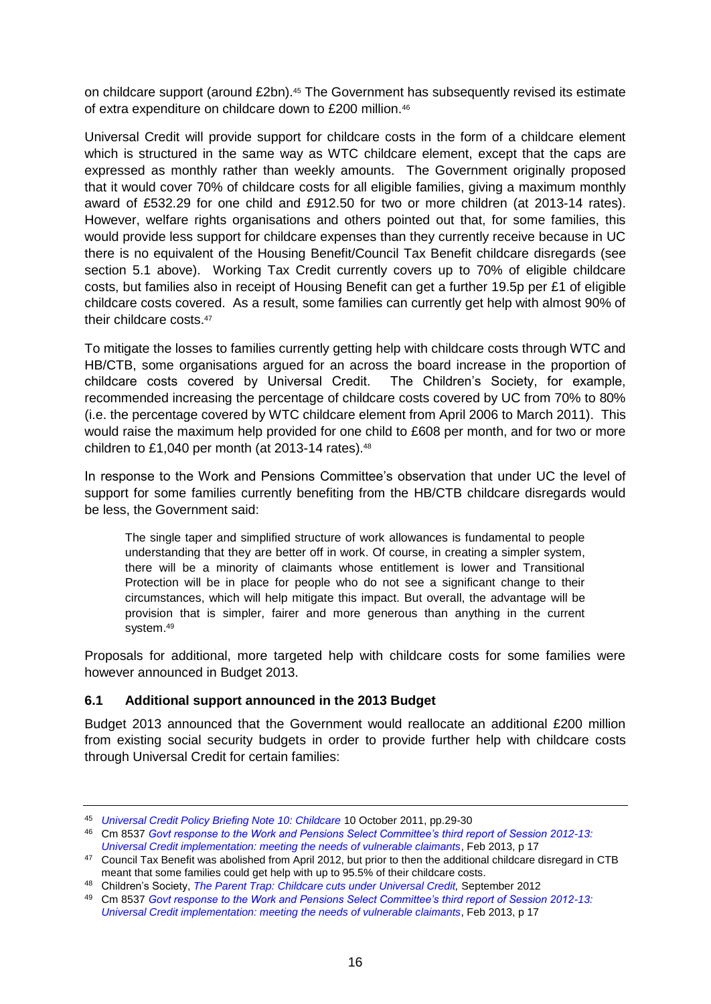on childcare support (around £2bn).<sup>45</sup> The Government has subsequently revised its estimate of extra expenditure on childcare down to £200 million.<sup>46</sup>

Universal Credit will provide support for childcare costs in the form of a childcare element which is structured in the same way as WTC childcare element, except that the caps are expressed as monthly rather than weekly amounts. The Government originally proposed that it would cover 70% of childcare costs for all eligible families, giving a maximum monthly award of £532.29 for one child and £912.50 for two or more children (at 2013-14 rates). However, welfare rights organisations and others pointed out that, for some families, this would provide less support for childcare expenses than they currently receive because in UC there is no equivalent of the Housing Benefit/Council Tax Benefit childcare disregards (see section 5.1 above). Working Tax Credit currently covers up to 70% of eligible childcare costs, but families also in receipt of Housing Benefit can get a further 19.5p per £1 of eligible childcare costs covered. As a result, some families can currently get help with almost 90% of their childcare costs.<sup>47</sup>

To mitigate the losses to families currently getting help with childcare costs through WTC and HB/CTB, some organisations argued for an across the board increase in the proportion of childcare costs covered by Universal Credit. The Children's Society, for example, recommended increasing the percentage of childcare costs covered by UC from 70% to 80% (i.e. the percentage covered by WTC childcare element from April 2006 to March 2011). This would raise the maximum help provided for one child to £608 per month, and for two or more children to £1,040 per month (at 2013-14 rates). $48$ 

In response to the Work and Pensions Committee's observation that under UC the level of support for some families currently benefiting from the HB/CTB childcare disregards would be less, the Government said:

The single taper and simplified structure of work allowances is fundamental to people understanding that they are better off in work. Of course, in creating a simpler system, there will be a minority of claimants whose entitlement is lower and Transitional Protection will be in place for people who do not see a significant change to their circumstances, which will help mitigate this impact. But overall, the advantage will be provision that is simpler, fairer and more generous than anything in the current system.<sup>49</sup>

Proposals for additional, more targeted help with childcare costs for some families were however announced in Budget 2013.

### <span id="page-15-0"></span>**6.1 Additional support announced in the 2013 Budget**

Budget 2013 announced that the Government would reallocate an additional £200 million from existing social security budgets in order to provide further help with childcare costs through Universal Credit for certain families:

<sup>45</sup> *[Universal Credit Policy Briefing Note 10: Childcare](http://www.dwp.gov.uk/docs/ucpbn-10-childcare.pdf)* 10 October 2011, pp.29-30

<sup>46</sup> Cm 8537 *[Govt response to the Work and Pensions Select Committee's third report of Session 2012-13:](http://www.dwp.gov.uk/docs/uc-wpsc-response.pdf#page=17)  [Universal Credit implementation: meeting the needs of vulnerable claimants](http://www.dwp.gov.uk/docs/uc-wpsc-response.pdf#page=17)*, Feb 2013, p 17

<sup>&</sup>lt;sup>47</sup> Council Tax Benefit was abolished from April 2012, but prior to then the additional childcare disregard in CTB meant that some families could get help with up to 95.5% of their childcare costs.

<sup>48</sup> Children's Society, *[The Parent Trap: Childcare cuts under Universal Credit,](http://www.childrenssociety.org.uk/news-views/press-release/universal-credit-leave-100000-poorest-families-lurch-over-childcare#return-for-footnote-1)* September 2012

<sup>49</sup> Cm 8537 *[Govt response to the Work and Pensions Select Committee's third report of Session 2012-13:](http://www.dwp.gov.uk/docs/uc-wpsc-response.pdf#page=17)  [Universal Credit implementation: meeting the needs of vulnerable claimants](http://www.dwp.gov.uk/docs/uc-wpsc-response.pdf#page=17)*, Feb 2013, p 17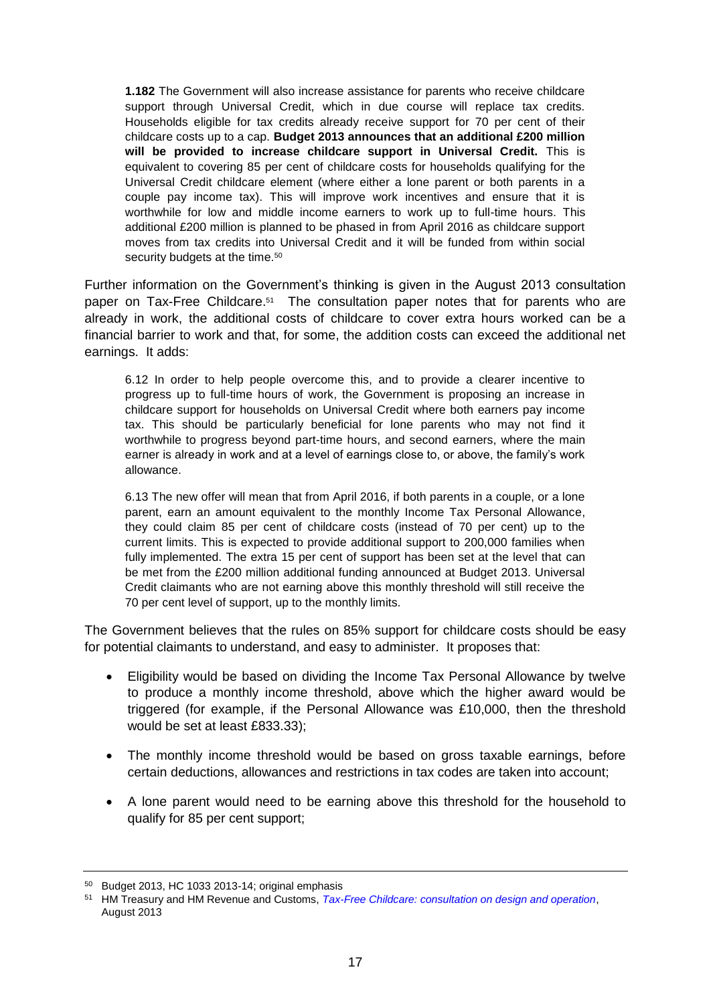**1.182** The Government will also increase assistance for parents who receive childcare support through Universal Credit, which in due course will replace tax credits. Households eligible for tax credits already receive support for 70 per cent of their childcare costs up to a cap. **Budget 2013 announces that an additional £200 million will be provided to increase childcare support in Universal Credit.** This is equivalent to covering 85 per cent of childcare costs for households qualifying for the Universal Credit childcare element (where either a lone parent or both parents in a couple pay income tax). This will improve work incentives and ensure that it is worthwhile for low and middle income earners to work up to full-time hours. This additional £200 million is planned to be phased in from April 2016 as childcare support moves from tax credits into Universal Credit and it will be funded from within social security budgets at the time.<sup>50</sup>

Further information on the Government's thinking is given in the August 2013 consultation paper on Tax-Free Childcare.<sup>51</sup> The consultation paper notes that for parents who are already in work, the additional costs of childcare to cover extra hours worked can be a financial barrier to work and that, for some, the addition costs can exceed the additional net earnings. It adds:

6.12 In order to help people overcome this, and to provide a clearer incentive to progress up to full-time hours of work, the Government is proposing an increase in childcare support for households on Universal Credit where both earners pay income tax. This should be particularly beneficial for lone parents who may not find it worthwhile to progress beyond part-time hours, and second earners, where the main earner is already in work and at a level of earnings close to, or above, the family's work allowance.

6.13 The new offer will mean that from April 2016, if both parents in a couple, or a lone parent, earn an amount equivalent to the monthly Income Tax Personal Allowance, they could claim 85 per cent of childcare costs (instead of 70 per cent) up to the current limits. This is expected to provide additional support to 200,000 families when fully implemented. The extra 15 per cent of support has been set at the level that can be met from the £200 million additional funding announced at Budget 2013. Universal Credit claimants who are not earning above this monthly threshold will still receive the 70 per cent level of support, up to the monthly limits.

The Government believes that the rules on 85% support for childcare costs should be easy for potential claimants to understand, and easy to administer. It proposes that:

- Eligibility would be based on dividing the Income Tax Personal Allowance by twelve to produce a monthly income threshold, above which the higher award would be triggered (for example, if the Personal Allowance was £10,000, then the threshold would be set at least £833.33);
- The monthly income threshold would be based on gross taxable earnings, before certain deductions, allowances and restrictions in tax codes are taken into account;
- A lone parent would need to be earning above this threshold for the household to qualify for 85 per cent support;

<sup>50</sup> Budget 2013, HC 1033 2013-14; original emphasis

<sup>51</sup> HM Treasury and HM Revenue and Customs, *[Tax-Free Childcare: consultation on design and operation](https://www.gov.uk/government/consultations/tax-free-childcare)*, August 2013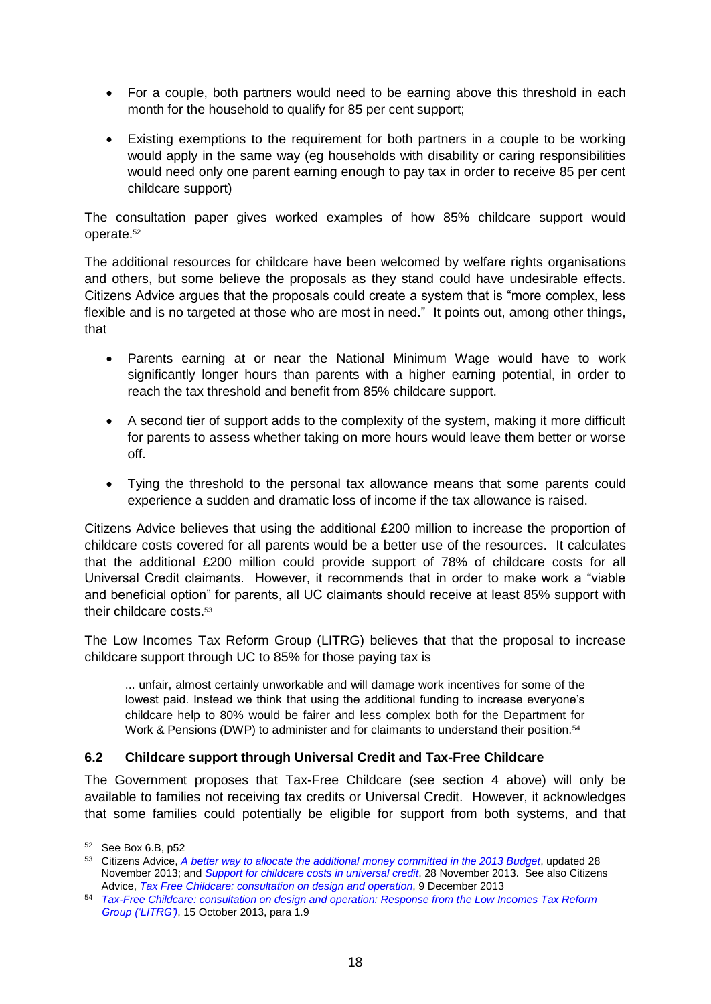- For a couple, both partners would need to be earning above this threshold in each month for the household to qualify for 85 per cent support;
- Existing exemptions to the requirement for both partners in a couple to be working would apply in the same way (eg households with disability or caring responsibilities would need only one parent earning enough to pay tax in order to receive 85 per cent childcare support)

The consultation paper gives worked examples of how 85% childcare support would operate.<sup>52</sup>

The additional resources for childcare have been welcomed by welfare rights organisations and others, but some believe the proposals as they stand could have undesirable effects. Citizens Advice argues that the proposals could create a system that is "more complex, less flexible and is no targeted at those who are most in need." It points out, among other things, that

- Parents earning at or near the National Minimum Wage would have to work significantly longer hours than parents with a higher earning potential, in order to reach the tax threshold and benefit from 85% childcare support.
- A second tier of support adds to the complexity of the system, making it more difficult for parents to assess whether taking on more hours would leave them better or worse off.
- Tying the threshold to the personal tax allowance means that some parents could experience a sudden and dramatic loss of income if the tax allowance is raised.

Citizens Advice believes that using the additional £200 million to increase the proportion of childcare costs covered for all parents would be a better use of the resources. It calculates that the additional £200 million could provide support of 78% of childcare costs for all Universal Credit claimants. However, it recommends that in order to make work a "viable and beneficial option" for parents, all UC claimants should receive at least 85% support with their childcare costs.<sup>53</sup>

The Low Incomes Tax Reform Group (LITRG) believes that that the proposal to increase childcare support through UC to 85% for those paying tax is

... unfair, almost certainly unworkable and will damage work incentives for some of the lowest paid. Instead we think that using the additional funding to increase everyone's childcare help to 80% would be fairer and less complex both for the Department for Work & Pensions (DWP) to administer and for claimants to understand their position.<sup>54</sup>

### <span id="page-17-0"></span>**6.2 Childcare support through Universal Credit and Tax-Free Childcare**

The Government proposes that Tax-Free Childcare (see section 4 above) will only be available to families not receiving tax credits or Universal Credit. However, it acknowledges that some families could potentially be eligible for support from both systems, and that

<sup>52</sup> See Box 6.B, p52

<sup>53</sup> Citizens Advice, *[A better way to allocate the additional money committed in the 2013 Budget](http://www.citizensadvice.org.uk/index/policy/policy_publications/childcare_costs_in_universal_credit.htm)*, updated 28 November 2013; and *[Support for childcare costs in universal credit](http://www.citizensadvice.org.uk/index/policy/policy_publications/er_benefitsandtaxcredits/support_for_childcare_costs_in_universal_credit.htm)*, 28 November 2013. See also Citizens Advice, *[Tax Free Childcare: consultation on design](http://www.citizensadvice.org.uk/index/policy/policy_publications/er_benefitsandtaxcredits/cr_benefitsandtaxcredits/tax_free_childcare.htm) and operation*, 9 December 2013

<sup>54</sup> *[Tax-Free Childcare: consultation on design and operation: Response from the Low Incomes Tax Reform](http://www.litrg.org.uk/Resources/LITRG/Documents/2013/10/131015_LITRG_response%20to%20consultation%20on%20Tax-Free%20Childcare.pdf)  [Group \('LITRG'\)](http://www.litrg.org.uk/Resources/LITRG/Documents/2013/10/131015_LITRG_response%20to%20consultation%20on%20Tax-Free%20Childcare.pdf)*, 15 October 2013, para 1.9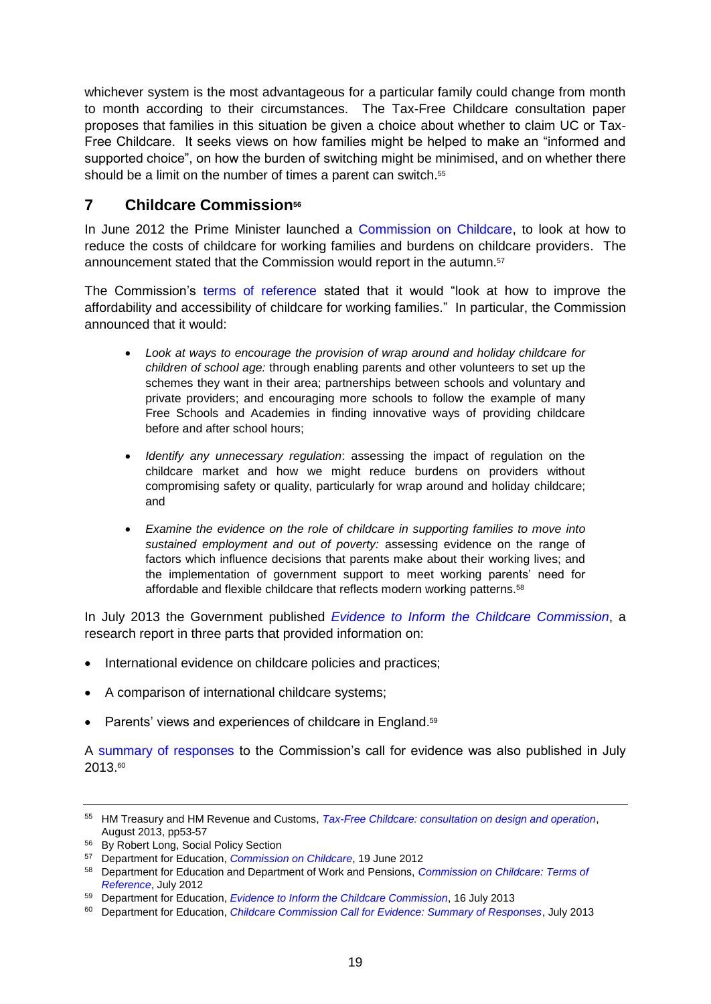whichever system is the most advantageous for a particular family could change from month to month according to their circumstances. The Tax-Free Childcare consultation paper proposes that families in this situation be given a choice about whether to claim UC or Tax-Free Childcare. It seeks views on how families might be helped to make an "informed and supported choice", on how the burden of switching might be minimised, and on whether there should be a limit on the number of times a parent can switch.<sup>55</sup>

# <span id="page-18-0"></span>**7 Childcare Commission<sup>56</sup>**

In June 2012 the Prime Minister launched a [Commission on Childcare,](http://www.education.gov.uk/childrenandyoungpeople/earlylearningandchildcare/a00211918/childcare-commission) to look at how to reduce the costs of childcare for working families and burdens on childcare providers. The announcement stated that the Commission would report in the autumn.<sup>57</sup>

The Commission's [terms of reference](http://media.education.gov.uk/assets/files/pdf/c/childcare_commission_terms_of_reference_july_2012.pdf) stated that it would "look at how to improve the affordability and accessibility of childcare for working families." In particular, the Commission announced that it would:

- *Look at ways to encourage the provision of wrap around and holiday childcare for children of school age:* through enabling parents and other volunteers to set up the schemes they want in their area; partnerships between schools and voluntary and private providers; and encouraging more schools to follow the example of many Free Schools and Academies in finding innovative ways of providing childcare before and after school hours;
- *Identify any unnecessary regulation*: assessing the impact of regulation on the childcare market and how we might reduce burdens on providers without compromising safety or quality, particularly for wrap around and holiday childcare; and
- *Examine the evidence on the role of childcare in supporting families to move into sustained employment and out of poverty:* assessing evidence on the range of factors which influence decisions that parents make about their working lives; and the implementation of government support to meet working parents' need for affordable and flexible childcare that reflects modern working patterns.<sup>58</sup>

In July 2013 the Government published *[Evidence to Inform the Childcare Commission](https://www.gov.uk/government/publications/evidence-to-inform-the-childcare-commission)*, a research report in three parts that provided information on:

- International evidence on childcare policies and practices;
- A comparison of international childcare systems;
- Parents' views and experiences of childcare in England.<sup>59</sup>

A [summary of responses](https://www.education.gov.uk/consultations/downloadableDocs/Childcare%20Commission%20summary%20of%20responses%20160713.doc) to the Commission's call for evidence was also published in July 2013.<sup>60</sup>

<sup>55</sup> HM Treasury and HM Revenue and Customs, *[Tax-Free Childcare: consultation on design and operation](https://www.gov.uk/government/consultations/tax-free-childcare)*, August 2013, pp53-57

<sup>56</sup> By Robert Long, Social Policy Section

<sup>57</sup> Department for Education, *[Commission on Childcare](http://www.education.gov.uk/childrenandyoungpeople/earlylearningandchildcare/a00211918/childcare-commission)*, 19 June 2012

<sup>58</sup> Department for Education and Department of Work and Pensions, *[Commission on Childcare: Terms of](http://media.education.gov.uk/assets/files/pdf/c/childcare_commission_terms_of_reference_july_2012.pdf)  [Reference](http://media.education.gov.uk/assets/files/pdf/c/childcare_commission_terms_of_reference_july_2012.pdf)*, July 2012

<sup>59</sup> Department for Education, *[Evidence to Inform the Childcare Commission](https://www.gov.uk/government/publications/evidence-to-inform-the-childcare-commission)*, 16 July 2013

<sup>60</sup> Department for Education, *[Childcare Commission Call for Evidence: Summary of Responses](https://www.education.gov.uk/consultations/downloadableDocs/Childcare%20Commission%20summary%20of%20responses%20160713.doc)*, July 2013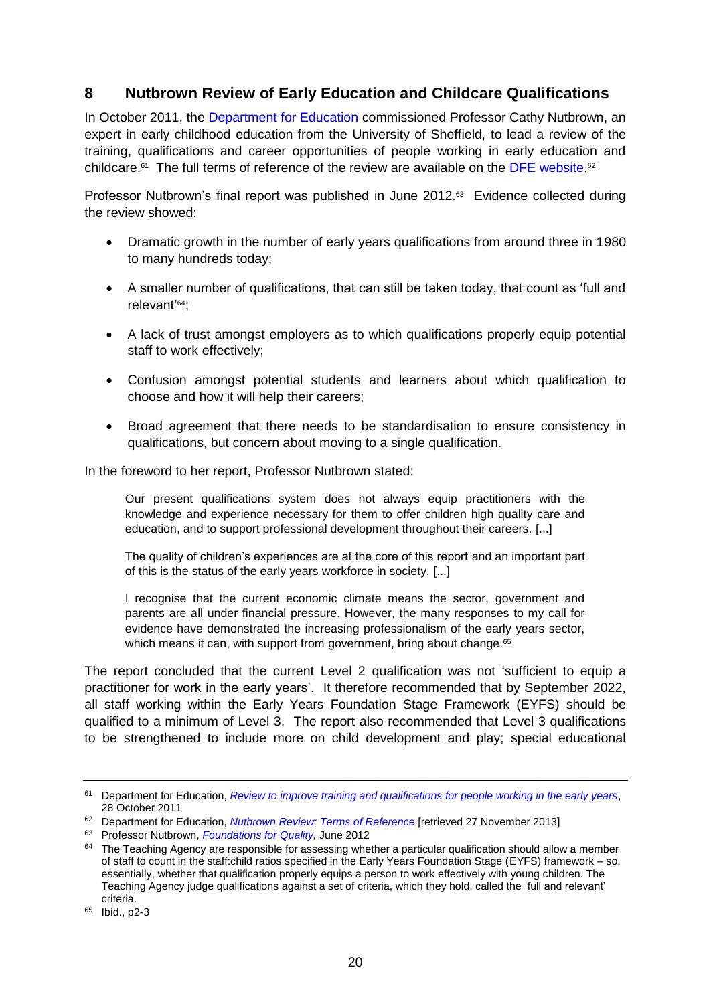# <span id="page-19-0"></span>**8 Nutbrown Review of Early Education and Childcare Qualifications**

In October 2011, the [Department for Education](http://www.education.gov.uk/childrenandyoungpeople/earlylearningandchildcare/a00199748/review-to-improve-the-training-and-qualifications-for-people-working-in-the-early-years) commissioned Professor Cathy Nutbrown, an expert in early childhood education from the University of Sheffield, to lead a review of the training, qualifications and career opportunities of people working in early education and childcare.<sup>61</sup> The full terms of reference of the review are available on the [DFE website.](https://media.education.gov.uk/assets/files/pdf/n/nutbrown%20terms%20of%20referencepdf.pdf)<sup>62</sup>

Professor Nutbrown's final report was published in June 2012. 63 Evidence collected during the review showed:

- Dramatic growth in the number of early years qualifications from around three in 1980 to many hundreds today;
- A smaller number of qualifications, that can still be taken today, that count as 'full and relevant'64;
- A lack of trust amongst employers as to which qualifications properly equip potential staff to work effectively;
- Confusion amongst potential students and learners about which qualification to choose and how it will help their careers;
- Broad agreement that there needs to be standardisation to ensure consistency in qualifications, but concern about moving to a single qualification.

In the foreword to her report, Professor Nutbrown stated:

Our present qualifications system does not always equip practitioners with the knowledge and experience necessary for them to offer children high quality care and education, and to support professional development throughout their careers. [...]

The quality of children's experiences are at the core of this report and an important part of this is the status of the early years workforce in society. [...]

I recognise that the current economic climate means the sector, government and parents are all under financial pressure. However, the many responses to my call for evidence have demonstrated the increasing professionalism of the early years sector, which means it can, with support from government, bring about change.<sup>65</sup>

The report concluded that the current Level 2 qualification was not 'sufficient to equip a practitioner for work in the early years'. It therefore recommended that by September 2022, all staff working within the Early Years Foundation Stage Framework (EYFS) should be qualified to a minimum of Level 3. The report also recommended that Level 3 qualifications to be strengthened to include more on child development and play; special educational

<sup>61</sup> Department for Education, *[Review to improve training and qualifications for people working in the early years](https://www.gov.uk/government/news/review-to-improve-the-training-and-qualifications-for-people-working-in-the-early-years)*, 28 October 2011

<sup>62</sup> Department for Education, *[Nutbrown Review: Terms of Reference](https://media.education.gov.uk/assets/files/pdf/n/nutbrown%20terms%20of%20referencepdf.pdf)* [retrieved 27 November 2013]

<sup>63</sup> Professor Nutbrown, *[Foundations for Quality,](http://media.education.gov.uk/MediaFiles/A/0/9/%7BA098ADE7-BA9A-4E18-8802-D8D4B060858D%7DNUTBROWN%20FINAL%20REPORT%20-%20final.pdf)* June 2012

<sup>&</sup>lt;sup>64</sup> The Teaching Agency are responsible for assessing whether a particular qualification should allow a member of staff to count in the staff:child ratios specified in the Early Years Foundation Stage (EYFS) framework – so, essentially, whether that qualification properly equips a person to work effectively with young children. The Teaching Agency judge qualifications against a set of criteria, which they hold, called the 'full and relevant' criteria.

<sup>65</sup> Ibid., p2-3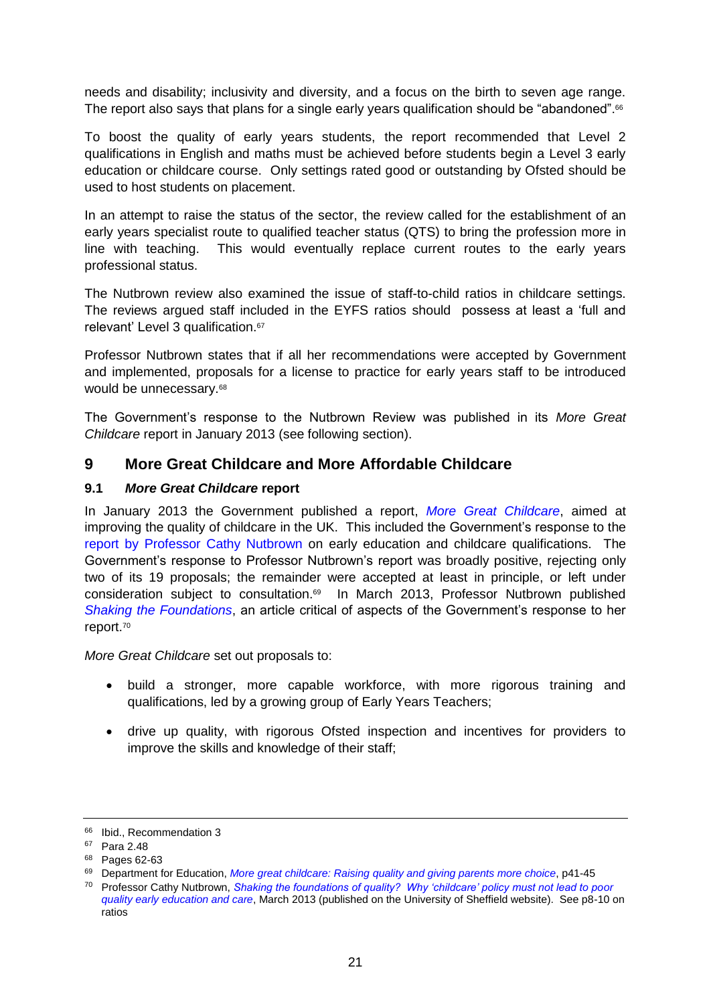needs and disability; inclusivity and diversity, and a focus on the birth to seven age range. The report also says that plans for a single early years qualification should be "abandoned".<sup>66</sup>

To boost the quality of early years students, the report recommended that Level 2 qualifications in English and maths must be achieved before students begin a Level 3 early education or childcare course. Only settings rated good or outstanding by Ofsted should be used to host students on placement.

In an attempt to raise the status of the sector, the review called for the establishment of an early years specialist route to qualified teacher status (QTS) to bring the profession more in line with teaching. This would eventually replace current routes to the early years professional status.

The Nutbrown review also examined the issue of staff-to-child ratios in childcare settings. The reviews argued staff included in the EYFS ratios should possess at least a 'full and relevant' Level 3 qualification.<sup>67</sup>

Professor Nutbrown states that if all her recommendations were accepted by Government and implemented, proposals for a license to practice for early years staff to be introduced would be unnecessary.<sup>68</sup>

The Government's response to the Nutbrown Review was published in its *More Great Childcare* report in January 2013 (see following section).

## <span id="page-20-0"></span>**9 More Great Childcare and More Affordable Childcare**

### <span id="page-20-1"></span>**9.1** *More Great Childcare* **report**

In January 2013 the Government published a report, *[More Great Childcare](https://www.education.gov.uk/publications/eOrderingDownload/More%20Great%20Childcare%20v2.pdf)*, aimed at improving the quality of childcare in the UK. This included the Government's response to the [report by Professor Cathy Nutbrown](http://www.education.gov.uk/nutbrownreview) on early education and childcare qualifications. The Government's response to Professor Nutbrown's report was broadly positive, rejecting only two of its 19 proposals; the remainder were accepted at least in principle, or left under consideration subject to consultation.<sup>69</sup> In March 2013, Professor Nutbrown published *[Shaking the Foundations](http://www.shef.ac.uk/polopoly_fs/1.263201!/file/Shakingthefoundationsofquality.pdf)*, an article critical of aspects of the Government's response to her report.<sup>70</sup>

*More Great Childcare* set out proposals to:

- build a stronger, more capable workforce, with more rigorous training and qualifications, led by a growing group of Early Years Teachers;
- drive up quality, with rigorous Ofsted inspection and incentives for providers to improve the skills and knowledge of their staff;

<sup>&</sup>lt;sup>66</sup> Ibid., Recommendation 3

<sup>67</sup> Para 2.48

<sup>68</sup> Pages 62-63

<sup>69</sup> Department for Education, *More great childcare: Raising [quality and giving parents more choice](https://www.gov.uk/government/uploads/system/uploads/attachment_data/file/219660/More_20Great_20Childcare_20v2.pdf)*, p41-45

<sup>70</sup> Professor Cathy Nutbrown, *[Shaking the foundations of quality? Why 'childcare' policy must not lead to poor](http://www.shef.ac.uk/polopoly_fs/1.263201!/file/Shakingthefoundationsofquality.pdf)  [quality early education and care](http://www.shef.ac.uk/polopoly_fs/1.263201!/file/Shakingthefoundationsofquality.pdf)*, March 2013 (published on the University of Sheffield website). See p8-10 on ratios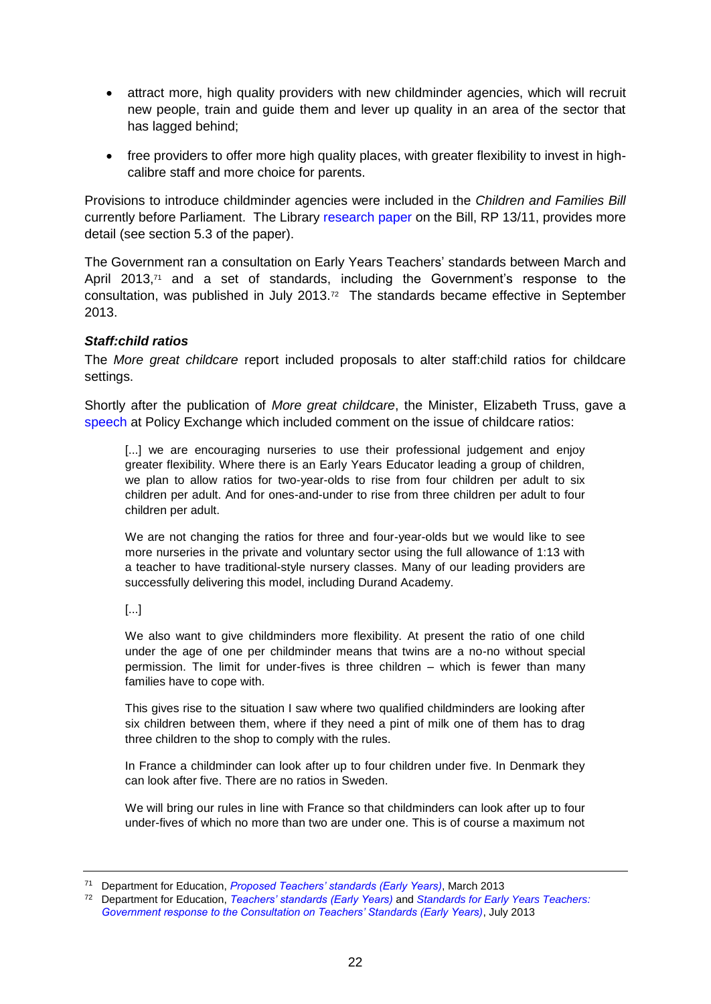- attract more, high quality providers with new childminder agencies, which will recruit new people, train and guide them and lever up quality in an area of the sector that has lagged behind:
- free providers to offer more high quality places, with greater flexibility to invest in highcalibre staff and more choice for parents.

Provisions to introduce childminder agencies were included in the *Children and Families Bill* currently before Parliament. The Library [research paper](http://www.parliament.uk/briefing-papers/RP13-11) on the Bill, RP 13/11, provides more detail (see section 5.3 of the paper).

The Government ran a consultation on Early Years Teachers' standards between March and April 2013, $71$  and a set of standards, including the Government's response to the consultation, was published in July 2013.<sup>72</sup> The standards became effective in September 2013.

### <span id="page-21-0"></span>*Staff:child ratios*

The *More great childcare* report included proposals to alter staff:child ratios for childcare settings.

Shortly after the publication of *More great childcare*, the Minister, Elizabeth Truss, gave a [speech](http://www.education.gov.uk/inthenews/speeches/a00220991/trusschildcareratios) at Policy Exchange which included comment on the issue of childcare ratios:

[...] we are encouraging nurseries to use their professional judgement and enjoy greater flexibility. Where there is an Early Years Educator leading a group of children, we plan to allow ratios for two-year-olds to rise from four children per adult to six children per adult. And for ones-and-under to rise from three children per adult to four children per adult.

We are not changing the ratios for three and four-year-olds but we would like to see more nurseries in the private and voluntary sector using the full allowance of 1:13 with a teacher to have traditional-style nursery classes. Many of our leading providers are successfully delivering this model, including Durand Academy.

[...]

We also want to give childminders more flexibility. At present the ratio of one child under the age of one per childminder means that twins are a no-no without special permission. The limit for under-fives is three children – which is fewer than many families have to cope with.

This gives rise to the situation I saw where two qualified childminders are looking after six children between them, where if they need a pint of milk one of them has to drag three children to the shop to comply with the rules.

In France a childminder can look after up to four children under five. In Denmark they can look after five. There are no ratios in Sweden.

We will bring our rules in line with France so that childminders can look after up to four under-fives of which no more than two are under one. This is of course a maximum not

<sup>71</sup> Department for Education, *[Proposed Teachers' standards \(Early Years\)](https://www.gov.uk/government/consultations/consultation-on-teachers-standards-early-years)*, March 2013

<sup>72</sup> Department for Education, *[Teachers' standards \(Early Years\)](https://www.gov.uk/government/uploads/system/uploads/attachment_data/file/211646/Early_Years_Teachers__Standards.pdf)* and *[Standards for Early Years Teachers:](https://www.education.gov.uk/consultations/downloadableDocs/EYTS%20Gov%20Response%20Accessible%20FINAL%20v1%200%201007131.pdf)  [Government response to the Consultation on Teachers' Standards \(Early Years\)](https://www.education.gov.uk/consultations/downloadableDocs/EYTS%20Gov%20Response%20Accessible%20FINAL%20v1%200%201007131.pdf)*, July 2013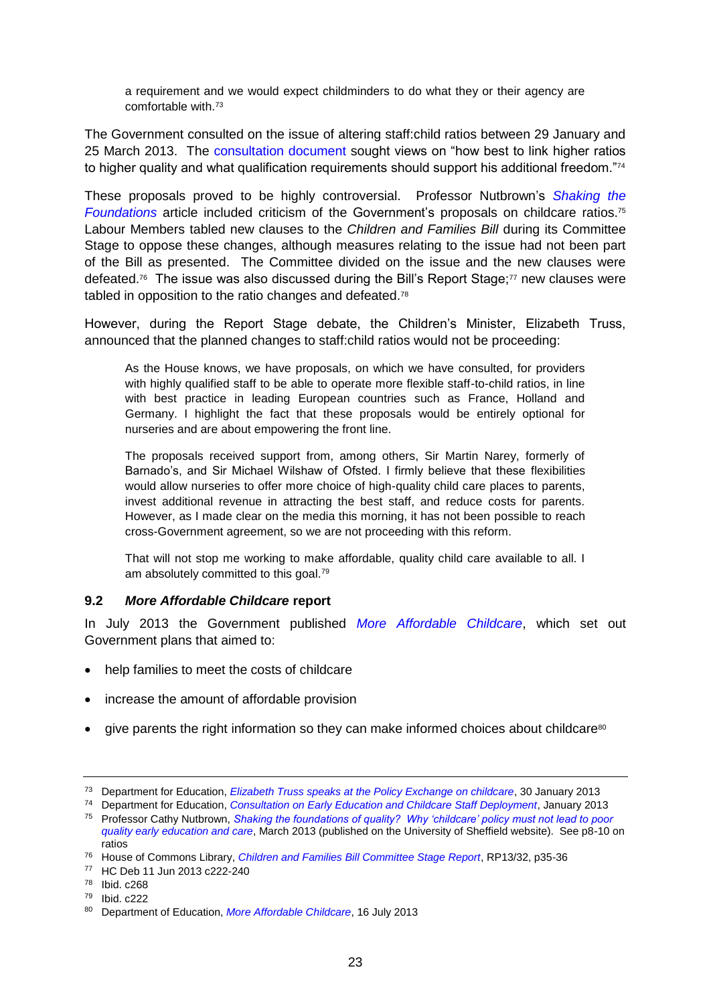a requirement and we would expect childminders to do what they or their agency are comfortable with.<sup>73</sup>

The Government consulted on the issue of altering staff:child ratios between 29 January and 25 March 2013. The [consultation document](http://media.education.gov.uk/assets/files/pdf/c/childcare%20staff%20deployment%20consultation%20document.pdf) sought views on "how best to link higher ratios to higher quality and what qualification requirements should support his additional freedom."74

These proposals proved to be highly controversial. Professor Nutbrown's *[Shaking the](http://www.shef.ac.uk/polopoly_fs/1.263201!/file/Shakingthefoundationsofquality.pdf)  [Foundations](http://www.shef.ac.uk/polopoly_fs/1.263201!/file/Shakingthefoundationsofquality.pdf)* article included criticism of the Government's proposals on childcare ratios.<sup>75</sup> Labour Members tabled new clauses to the *Children and Families Bill* during its Committee Stage to oppose these changes, although measures relating to the issue had not been part of the Bill as presented. The Committee divided on the issue and the new clauses were defeated.<sup>76</sup> The issue was also discussed during the Bill's Report Stage;<sup>77</sup> new clauses were tabled in opposition to the ratio changes and defeated.<sup>78</sup>

However, during the Report Stage debate, the Children's Minister, Elizabeth Truss, announced that the planned changes to staff:child ratios would not be proceeding:

As the House knows, we have proposals, on which we have consulted, for providers with highly qualified staff to be able to operate more flexible staff-to-child ratios, in line with best practice in leading European countries such as France, Holland and Germany. I highlight the fact that these proposals would be entirely optional for nurseries and are about empowering the front line.

The proposals received support from, among others, Sir Martin Narey, formerly of Barnado's, and Sir Michael Wilshaw of Ofsted. I firmly believe that these flexibilities would allow nurseries to offer more choice of high-quality child care places to parents, invest additional revenue in attracting the best staff, and reduce costs for parents. However, as I made clear on the media this morning, it has not been possible to reach cross-Government agreement, so we are not proceeding with this reform.

That will not stop me working to make affordable, quality child care available to all. I am absolutely committed to this goal.<sup>79</sup>

### <span id="page-22-0"></span>**9.2** *More Affordable Childcare* **report**

In July 2013 the Government published *[More Affordable Childcare](https://www.gov.uk/government/publications/more-affordable-childcare)*, which set out Government plans that aimed to:

- help families to meet the costs of childcare
- increase the amount of affordable provision
- give parents the right information so they can make informed choices about childcare<sup>80</sup>

<sup>73</sup> Department for Education, *[Elizabeth Truss speaks at the Policy Exchange on childcare](http://www.education.gov.uk/inthenews/speeches/a00220991/trusschildcareratios)*, 30 January 2013

<sup>74</sup> Department for Education, *[Consultation on Early Education and Childcare Staff Deployment](http://media.education.gov.uk/assets/files/pdf/c/childcare%20staff%20deployment%20consultation%20document.pdf)*, January 2013

<sup>75</sup> Professor Cathy Nutbrown, *[Shaking the foundations of quality? Why 'childcare' policy must not lead to poor](http://www.shef.ac.uk/polopoly_fs/1.263201!/file/Shakingthefoundationsofquality.pdf)  [quality early education and care](http://www.shef.ac.uk/polopoly_fs/1.263201!/file/Shakingthefoundationsofquality.pdf)*, March 2013 (published on the University of Sheffield website). See p8-10 on ratios

<sup>76</sup> House of Commons Library, *[Children and Families Bill Committee Stage Report](http://www.parliament.uk/briefing-papers/RP13-32)*, RP13/32, p35-36

<sup>77</sup> HC Deb 11 Jun 2013 c222-240

<sup>78</sup> Ibid. c268

<sup>79</sup> Ibid. c222

<sup>80</sup> Department of Education, *[More Affordable Childcare](https://www.gov.uk/government/publications/more-affordable-childcare)*, 16 July 2013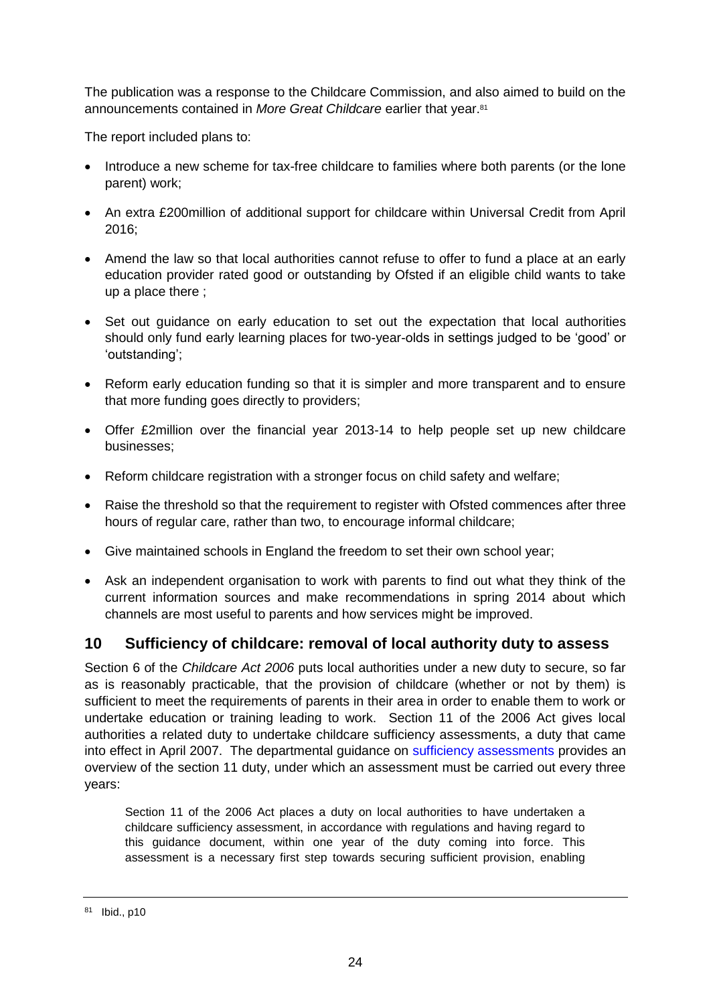The publication was a response to the Childcare Commission, and also aimed to build on the announcements contained in *More Great Childcare* earlier that year.<sup>81</sup>

The report included plans to:

- Introduce a new scheme for tax-free childcare to families where both parents (or the lone parent) work;
- An extra £200million of additional support for childcare within Universal Credit from April 2016;
- Amend the law so that local authorities cannot refuse to offer to fund a place at an early education provider rated good or outstanding by Ofsted if an eligible child wants to take up a place there ;
- Set out guidance on early education to set out the expectation that local authorities should only fund early learning places for two-year-olds in settings judged to be 'good' or 'outstanding';
- Reform early education funding so that it is simpler and more transparent and to ensure that more funding goes directly to providers;
- Offer £2million over the financial year 2013-14 to help people set up new childcare businesses;
- Reform childcare registration with a stronger focus on child safety and welfare;
- Raise the threshold so that the requirement to register with Ofsted commences after three hours of regular care, rather than two, to encourage informal childcare;
- Give maintained schools in England the freedom to set their own school year;
- Ask an independent organisation to work with parents to find out what they think of the current information sources and make recommendations in spring 2014 about which channels are most useful to parents and how services might be improved.

## <span id="page-23-0"></span>**10 Sufficiency of childcare: removal of local authority duty to assess**

Section 6 of the *Childcare Act 2006* puts local authorities under a new duty to secure, so far as is reasonably practicable, that the provision of childcare (whether or not by them) is sufficient to meet the requirements of parents in their area in order to enable them to work or undertake education or training leading to work. Section 11 of the 2006 Act gives local authorities a related duty to undertake childcare sufficiency assessments, a duty that came into effect in April 2007. The departmental guidance on [sufficiency assessments](https://www.education.gov.uk/publications/eOrderingDownload/DFES-00039-2007.pdf) provides an overview of the section 11 duty, under which an assessment must be carried out every three years:

Section 11 of the 2006 Act places a duty on local authorities to have undertaken a childcare sufficiency assessment, in accordance with regulations and having regard to this guidance document, within one year of the duty coming into force. This assessment is a necessary first step towards securing sufficient provision, enabling

<sup>81</sup> Ibid., p10